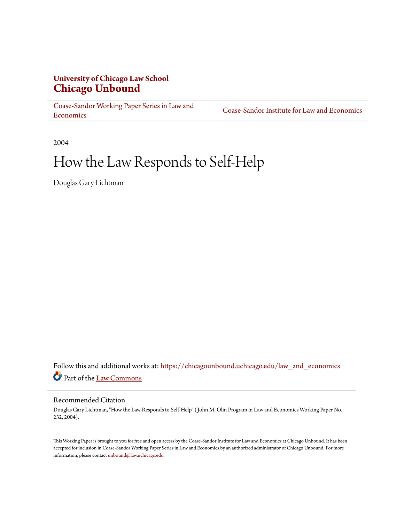# **University of Chicago Law School [Chicago Unbound](https://chicagounbound.uchicago.edu?utm_source=chicagounbound.uchicago.edu%2Flaw_and_economics%2F239&utm_medium=PDF&utm_campaign=PDFCoverPages)**

[Coase-Sandor Working Paper Series in Law and](https://chicagounbound.uchicago.edu/law_and_economics?utm_source=chicagounbound.uchicago.edu%2Flaw_and_economics%2F239&utm_medium=PDF&utm_campaign=PDFCoverPages) [Economics](https://chicagounbound.uchicago.edu/law_and_economics?utm_source=chicagounbound.uchicago.edu%2Flaw_and_economics%2F239&utm_medium=PDF&utm_campaign=PDFCoverPages)

[Coase-Sandor Institute for Law and Economics](https://chicagounbound.uchicago.edu/coase_sandor_institute?utm_source=chicagounbound.uchicago.edu%2Flaw_and_economics%2F239&utm_medium=PDF&utm_campaign=PDFCoverPages)

2004

# How the Law Responds to Self-Help

Douglas Gary Lichtman

Follow this and additional works at: [https://chicagounbound.uchicago.edu/law\\_and\\_economics](https://chicagounbound.uchicago.edu/law_and_economics?utm_source=chicagounbound.uchicago.edu%2Flaw_and_economics%2F239&utm_medium=PDF&utm_campaign=PDFCoverPages) Part of the [Law Commons](http://network.bepress.com/hgg/discipline/578?utm_source=chicagounbound.uchicago.edu%2Flaw_and_economics%2F239&utm_medium=PDF&utm_campaign=PDFCoverPages)

### Recommended Citation

Douglas Gary Lichtman, "How the Law Responds to Self-Help" ( John M. Olin Program in Law and Economics Working Paper No. 232, 2004).

This Working Paper is brought to you for free and open access by the Coase-Sandor Institute for Law and Economics at Chicago Unbound. It has been accepted for inclusion in Coase-Sandor Working Paper Series in Law and Economics by an authorized administrator of Chicago Unbound. For more information, please contact [unbound@law.uchicago.edu.](mailto:unbound@law.uchicago.edu)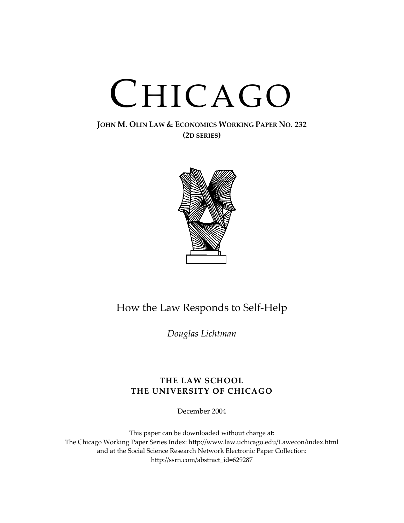# CHICAGO

# **JOHN M. OLIN LAW & ECONOMICS WORKING PAPER NO. 232 (2D SERIES)**



# How the Law Responds to Self-Help

*Douglas Lichtman* 

# **THE LAW SCHOOL THE UNIVERSITY OF CHICAGO**

December 2004

This paper can be downloaded without charge at: The Chicago Working Paper Series Index: <http://www.law.uchicago.edu/Lawecon/index.html> and at the Social Science Research Network Electronic Paper Collection: [http://ssrn.com/abstract\\_id=629287](http://papers.ssrn.com/sol3/search.taf)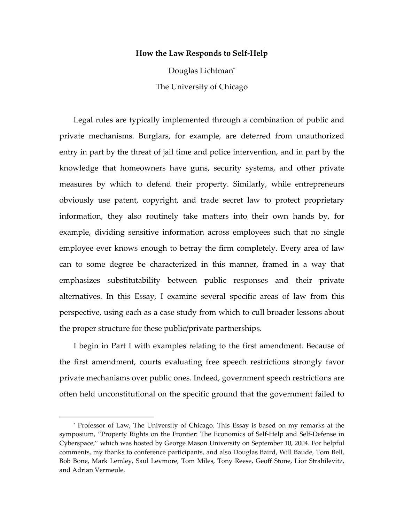#### **How the Law Responds to Self-Help**

Douglas Lichtma[n\\*](#page-2-0) The University of Chicago

Legal rules are typically implemented through a combination of public and private mechanisms. Burglars, for example, are deterred from unauthorized entry in part by the threat of jail time and police intervention, and in part by the knowledge that homeowners have guns, security systems, and other private measures by which to defend their property. Similarly, while entrepreneurs obviously use patent, copyright, and trade secret law to protect proprietary information, they also routinely take matters into their own hands by, for example, dividing sensitive information across employees such that no single employee ever knows enough to betray the firm completely. Every area of law can to some degree be characterized in this manner, framed in a way that emphasizes substitutability between public responses and their private alternatives. In this Essay, I examine several specific areas of law from this perspective, using each as a case study from which to cull broader lessons about the proper structure for these public/private partnerships.

I begin in Part I with examples relating to the first amendment. Because of the first amendment, courts evaluating free speech restrictions strongly favor private mechanisms over public ones. Indeed, government speech restrictions are often held unconstitutional on the specific ground that the government failed to

<span id="page-2-0"></span><sup>\*</sup> Professor of Law, The University of Chicago. This Essay is based on my remarks at the symposium, "Property Rights on the Frontier: The Economics of Self-Help and Self-Defense in Cyberspace," which was hosted by George Mason University on September 10, 2004. For helpful comments, my thanks to conference participants, and also Douglas Baird, Will Baude, Tom Bell, Bob Bone, Mark Lemley, Saul Levmore, Tom Miles, Tony Reese, Geoff Stone, Lior Strahilevitz, and Adrian Vermeule.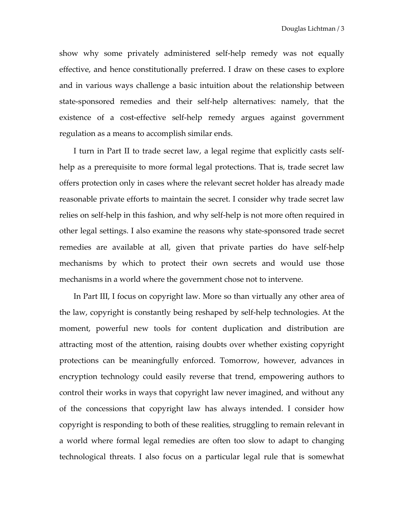show why some privately administered self-help remedy was not equally effective, and hence constitutionally preferred. I draw on these cases to explore and in various ways challenge a basic intuition about the relationship between state-sponsored remedies and their self-help alternatives: namely, that the existence of a cost-effective self-help remedy argues against government regulation as a means to accomplish similar ends.

I turn in Part II to trade secret law, a legal regime that explicitly casts selfhelp as a prerequisite to more formal legal protections. That is, trade secret law offers protection only in cases where the relevant secret holder has already made reasonable private efforts to maintain the secret. I consider why trade secret law relies on self-help in this fashion, and why self-help is not more often required in other legal settings. I also examine the reasons why state-sponsored trade secret remedies are available at all, given that private parties do have self-help mechanisms by which to protect their own secrets and would use those mechanisms in a world where the government chose not to intervene.

In Part III, I focus on copyright law. More so than virtually any other area of the law, copyright is constantly being reshaped by self-help technologies. At the moment, powerful new tools for content duplication and distribution are attracting most of the attention, raising doubts over whether existing copyright protections can be meaningfully enforced. Tomorrow, however, advances in encryption technology could easily reverse that trend, empowering authors to control their works in ways that copyright law never imagined, and without any of the concessions that copyright law has always intended. I consider how copyright is responding to both of these realities, struggling to remain relevant in a world where formal legal remedies are often too slow to adapt to changing technological threats. I also focus on a particular legal rule that is somewhat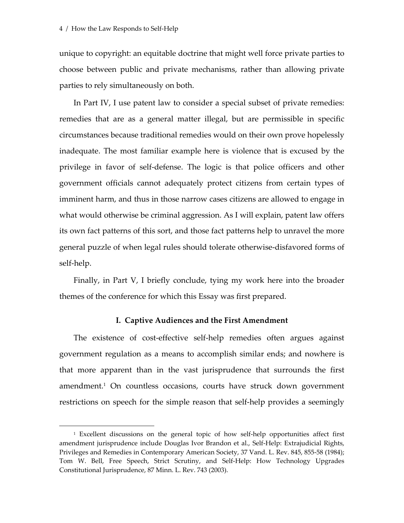1

unique to copyright: an equitable doctrine that might well force private parties to choose between public and private mechanisms, rather than allowing private parties to rely simultaneously on both.

In Part IV, I use patent law to consider a special subset of private remedies: remedies that are as a general matter illegal, but are permissible in specific circumstances because traditional remedies would on their own prove hopelessly inadequate. The most familiar example here is violence that is excused by the privilege in favor of self-defense. The logic is that police officers and other government officials cannot adequately protect citizens from certain types of imminent harm, and thus in those narrow cases citizens are allowed to engage in what would otherwise be criminal aggression. As I will explain, patent law offers its own fact patterns of this sort, and those fact patterns help to unravel the more general puzzle of when legal rules should tolerate otherwise-disfavored forms of self-help.

Finally, in Part V, I briefly conclude, tying my work here into the broader themes of the conference for which this Essay was first prepared.

### **I. Captive Audiences and the First Amendment**

The existence of cost-effective self-help remedies often argues against government regulation as a means to accomplish similar ends; and nowhere is that more apparent than in the vast jurisprudence that surrounds the first amendment.<sup>1</sup> On countless occasions, courts have struck down government restrictions on speech for the simple reason that self-help provides a seemingly

<span id="page-4-0"></span><sup>1</sup> Excellent discussions on the general topic of how self-help opportunities affect first amendment jurisprudence include Douglas Ivor Brandon et al., Self-Help: Extrajudicial Rights, Privileges and Remedies in Contemporary American Society, 37 Vand. L. Rev. 845, 855-58 (1984); Tom W. Bell, Free Speech, Strict Scrutiny, and Self-Help: How Technology Upgrades Constitutional Jurisprudence, 87 Minn. L. Rev. 743 (2003).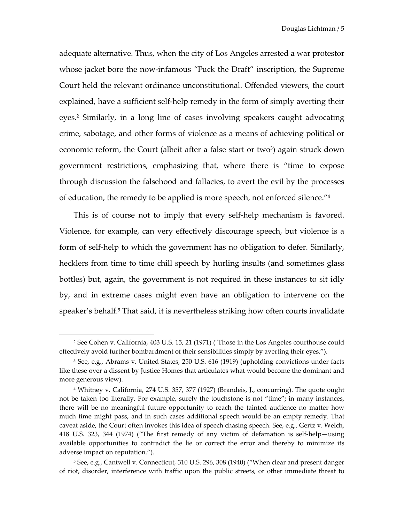<span id="page-5-3"></span>adequate alternative. Thus, when the city of Los Angeles arrested a war protestor whose jacket bore the now-infamous "Fuck the Draft" inscription, the Supreme Court held the relevant ordinance unconstitutional. Offended viewers, the court explained, have a sufficient self-help remedy in the form of simply averting their eyes[.2](#page-5-0) Similarly, in a long line of cases involving speakers caught advocating crime, sabotage, and other forms of violence as a means of achieving political or economic reform, the Court (albeit after a false start or two<sup>3</sup>) again struck down government restrictions, emphasizing that, where there is "time to expose through discussion the falsehood and fallacies, to avert the evil by the processes of education, the remedy to be applied is more speech, not enforced silence.["4](#page-5-2) 

This is of course not to imply that every self-help mechanism is favored. Violence, for example, can very effectively discourage speech, but violence is a form of self-help to which the government has no obligation to defer. Similarly, hecklers from time to time chill speech by hurling insults (and sometimes glass bottles) but, again, the government is not required in these instances to sit idly by, and in extreme cases might even have an obligation to intervene on the speaker's behalf.<sup>5</sup> That said, it is nevertheless striking how often courts invalidate

<span id="page-5-0"></span><sup>2</sup> See Cohen v. California, 403 U.S. 15, 21 (1971) ("Those in the Los Angeles courthouse could effectively avoid further bombardment of their sensibilities simply by averting their eyes.").

<span id="page-5-1"></span><sup>3</sup> See, e.g., Abrams v. United States, 250 U.S. 616 (1919) (upholding convictions under facts like these over a dissent by Justice Homes that articulates what would become the dominant and more generous view).

<span id="page-5-2"></span><sup>4</sup> Whitney v. California, 274 U.S. 357, 377 (1927) (Brandeis, J., concurring). The quote ought not be taken too literally. For example, surely the touchstone is not "time"; in many instances, there will be no meaningful future opportunity to reach the tainted audience no matter how much time might pass, and in such cases additional speech would be an empty remedy. That caveat aside, the Court often invokes this idea of speech chasing speech. See, e.g., Gertz v. Welch, 418 U.S. 323, 344 (1974) ("The first remedy of any victim of defamation is self-help—using available opportunities to contradict the lie or correct the error and thereby to minimize its adverse impact on reputation.").

<sup>5</sup> See, e.g., Cantwell v. Connecticut, 310 U.S. 296, 308 (1940) ("When clear and present danger of riot, disorder, interference with traffic upon the public streets, or other immediate threat to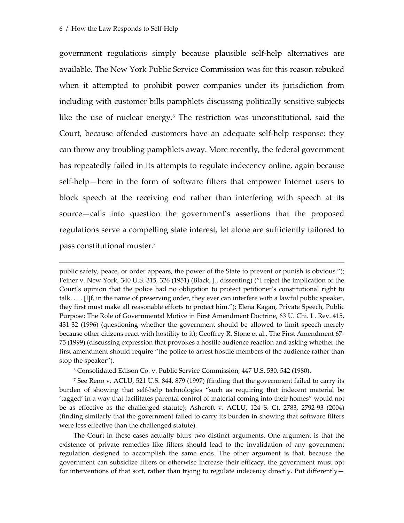$\overline{a}$ 

<span id="page-6-1"></span>government regulations simply because plausible self-help alternatives are available. The New York Public Service Commission was for this reason rebuked when it attempted to prohibit power companies under its jurisdiction from including with customer bills pamphlets discussing politically sensitive subjects like the use of nuclear energy.<sup>6</sup> The restriction was unconstitutional, said the Court, because offended customers have an adequate self-help response: they can throw any troubling pamphlets away. More recently, the federal government has repeatedly failed in its attempts to regulate indecency online, again because self-help—here in the form of software filters that empower Internet users to block speech at the receiving end rather than interfering with speech at its source—calls into question the government's assertions that the proposed regulations serve a compelling state interest, let alone are sufficiently tailored to pass constitutional muster.[7](#page-6-1) 

public safety, peace, or order appears, the power of the State to prevent or punish is obvious."); Feiner v. New York, 340 U.S. 315, 326 (1951) (Black, J., dissenting) ("I reject the implication of the Court's opinion that the police had no obligation to protect petitioner's constitutional right to talk. . . . [I]f, in the name of preserving order, they ever can interfere with a lawful public speaker, they first must make all reasonable efforts to protect him."); Elena Kagan, Private Speech, Public Purpose: The Role of Governmental Motive in First Amendment Doctrine, 63 U. Chi. L. Rev. 415, 431-32 (1996) (questioning whether the government should be allowed to limit speech merely because other citizens react with hostility to it); Geoffrey R. Stone et al., The First Amendment 67- 75 (1999) (discussing expression that provokes a hostile audience reaction and asking whether the first amendment should require "the police to arrest hostile members of the audience rather than stop the speaker").

<span id="page-6-0"></span>6 Consolidated Edison Co. v. Public Service Commission, 447 U.S. 530, 542 (1980).

7 See Reno v. ACLU, 521 U.S. 844, 879 (1997) (finding that the government failed to carry its burden of showing that self-help technologies "such as requiring that indecent material be 'tagged' in a way that facilitates parental control of material coming into their homes" would not be as effective as the challenged statute); Ashcroft v. ACLU, 124 S. Ct. 2783, 2792-93 (2004) (finding similarly that the government failed to carry its burden in showing that software filters were less effective than the challenged statute).

The Court in these cases actually blurs two distinct arguments. One argument is that the existence of private remedies like filters should lead to the invalidation of any government regulation designed to accomplish the same ends. The other argument is that, because the government can subsidize filters or otherwise increase their efficacy, the government must opt for interventions of that sort, rather than trying to regulate indecency directly. Put differently -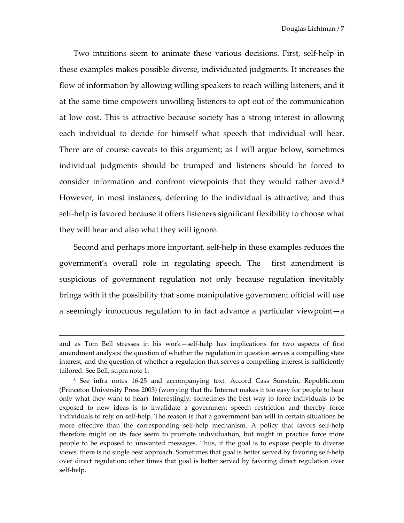Two intuitions seem to animate these various decisions. First, self-help in these examples makes possible diverse, individuated judgments. It increases the flow of information by allowing willing speakers to reach willing listeners, and it at the same time empowers unwilling listeners to opt out of the communication at low cost. This is attractive because society has a strong interest in allowing each individual to decide for himself what speech that individual will hear. There are of course caveats to this argument; as I will argue below, sometimes individual judgments should be trumped and listeners should be forced to consider information and confront viewpoints that they would rather avoid.<sup>8</sup> However, in most instances, deferring to the individual is attractive, and thus self-help is favored because it offers listeners significant flexibility to choose what they will hear and also what they will ignore.

Second and perhaps more important, self-help in these examples reduces the government's overall role in regulating speech. The first amendment is suspicious of government regulation not only because regulation inevitably brings with it the possibility that some manipulative government official will use a seemingly innocuous regulation to in fact advance a particular viewpoint—a

and as Tom Bell stresses in his work—self-help has implications for two aspects of first amendment analysis: the question of whether the regulation in question serves a compelling state interest, and the question of whether a regulation that serves a compelling interest is sufficiently tailored. See Bell, supra note 1.

<span id="page-7-0"></span><sup>8</sup> See infra notes 16-25 and accompanying text. Accord Cass Sunstein, Republic.com (Princeton University Press 2003) (worrying that the Internet makes it too easy for people to hear only what they want to hear). Interestingly, sometimes the best way to force individuals to be exposed to new ideas is to invalidate a government speech restriction and thereby force individuals to rely on self-help. The reason is that a government ban will in certain situations be more effective than the corresponding self-help mechanism. A policy that favors self-help therefore might on its face seem to promote individuation, but might in practice force more people to be exposed to unwanted messages. Thus, if the goal is to expose people to diverse views, there is no single best approach. Sometimes that goal is better served by favoring self-help over direct regulation; other times that goal is better served by favoring direct regulation over self-help.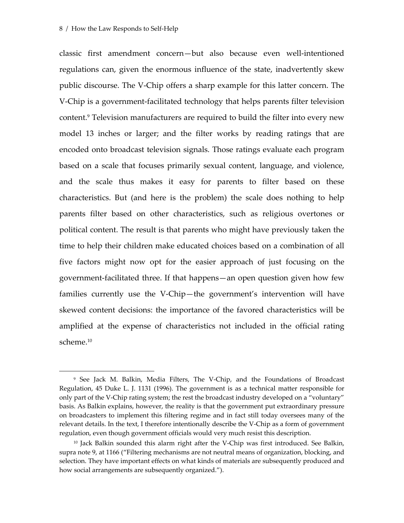$\overline{a}$ 

classic first amendment concern—but also because even well-intentioned regulations can, given the enormous influence of the state, inadvertently skew public discourse. The V-Chip offers a sharp example for this latter concern. The V-Chip is a government-facilitated technology that helps parents filter television content.<sup>9</sup> Television manufacturers are required to build the filter into every new model 13 inches or larger; and the filter works by reading ratings that are encoded onto broadcast television signals. Those ratings evaluate each program based on a scale that focuses primarily sexual content, language, and violence, and the scale thus makes it easy for parents to filter based on these characteristics. But (and here is the problem) the scale does nothing to help parents filter based on other characteristics, such as religious overtones or political content. The result is that parents who might have previously taken the time to help their children make educated choices based on a combination of all five factors might now opt for the easier approach of just focusing on the government-facilitated three. If that happens—an open question given how few families currently use the V-Chip—the government's intervention will have skewed content decisions: the importance of the favored characteristics will be amplified at the expense of characteristics not included in the official rating scheme.<sup>[10](#page-8-1)</sup>

<span id="page-8-0"></span><sup>9</sup> See Jack M. Balkin, Media Filters, The V-Chip, and the Foundations of Broadcast Regulation, 45 Duke L. J. 1131 (1996). The government is as a technical matter responsible for only part of the V-Chip rating system; the rest the broadcast industry developed on a "voluntary" basis. As Balkin explains, however, the reality is that the government put extraordinary pressure on broadcasters to implement this filtering regime and in fact still today oversees many of the relevant details. In the text, I therefore intentionally describe the V-Chip as a form of government regulation, even though government officials would very much resist this description.

<span id="page-8-1"></span><sup>10</sup> Jack Balkin sounded this alarm right after the V-Chip was first introduced. See Balkin, supra note 9, at 1166 ("Filtering mechanisms are not neutral means of organization, blocking, and selection. They have important effects on what kinds of materials are subsequently produced and how social arrangements are subsequently organized.").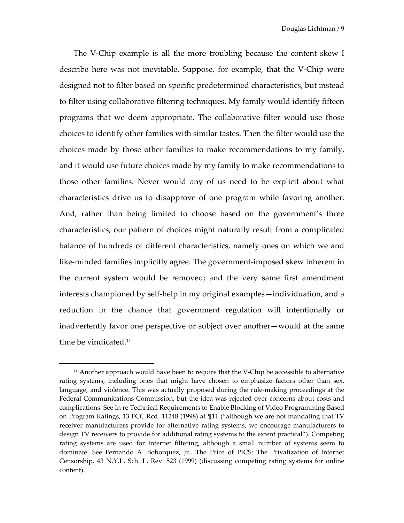The V-Chip example is all the more troubling because the content skew I describe here was not inevitable. Suppose, for example, that the V-Chip were designed not to filter based on specific predetermined characteristics, but instead to filter using collaborative filtering techniques. My family would identify fifteen programs that we deem appropriate. The collaborative filter would use those choices to identify other families with similar tastes. Then the filter would use the choices made by those other families to make recommendations to my family, and it would use future choices made by my family to make recommendations to those other families. Never would any of us need to be explicit about what characteristics drive us to disapprove of one program while favoring another. And, rather than being limited to choose based on the government's three characteristics, our pattern of choices might naturally result from a complicated balance of hundreds of different characteristics, namely ones on which we and like-minded families implicitly agree. The government-imposed skew inherent in the current system would be removed; and the very same first amendment interests championed by self-help in my original examples—individuation, and a reduction in the chance that government regulation will intentionally or inadvertently favor one perspective or subject over another—would at the same time be vindicated.<sup>11</sup>

<span id="page-9-0"></span> $11$  Another approach would have been to require that the V-Chip be accessible to alternative rating systems, including ones that might have chosen to emphasize factors other than sex, language, and violence. This was actually proposed during the rule-making proceedings at the Federal Communications Commission, but the idea was rejected over concerns about costs and complications. See In re Technical Requirements to Enable Blocking of Video Programming Based on Program Ratings, 13 FCC Rcd. 11248 (1998) at ¶11 ("although we are not mandating that TV receiver manufacturers provide for alternative rating systems, we encourage manufacturers to design TV receivers to provide for additional rating systems to the extent practical"). Competing rating systems are used for Internet filtering, although a small number of systems seem to dominate. See Fernando A. Bohorquez, Jr., The Price of PICS: The Privatization of Internet Censorship, 43 N.Y.L. Sch. L. Rev. 523 (1999) (discussing competing rating systems for online content).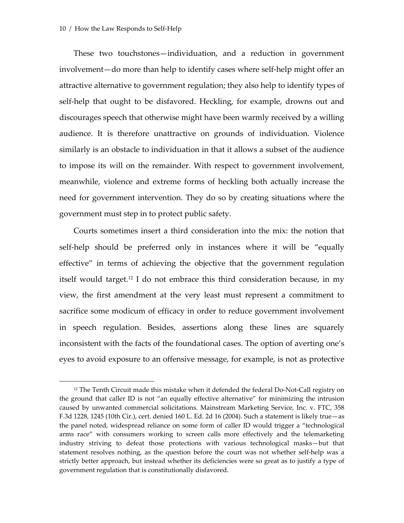$\overline{a}$ 

These two touchstones—individuation, and a reduction in government involvement—do more than help to identify cases where self-help might offer an attractive alternative to government regulation; they also help to identify types of self-help that ought to be disfavored. Heckling, for example, drowns out and discourages speech that otherwise might have been warmly received by a willing audience. It is therefore unattractive on grounds of individuation. Violence similarly is an obstacle to individuation in that it allows a subset of the audience to impose its will on the remainder. With respect to government involvement, meanwhile, violence and extreme forms of heckling both actually increase the need for government intervention. They do so by creating situations where the government must step in to protect public safety.

Courts sometimes insert a third consideration into the mix: the notion that self-help should be preferred only in instances where it will be "equally effective" in terms of achieving the objective that the government regulation itself would target[.12](#page-10-0) I do not embrace this third consideration because, in my view, the first amendment at the very least must represent a commitment to sacrifice some modicum of efficacy in order to reduce government involvement in speech regulation. Besides, assertions along these lines are squarely inconsistent with the facts of the foundational cases. The option of averting one's eyes to avoid exposure to an offensive message, for example, is not as protective

<span id="page-10-0"></span> $12$  The Tenth Circuit made this mistake when it defended the federal Do-Not-Call registry on the ground that caller ID is not "an equally effective alternative" for minimizing the intrusion caused by unwanted commercial solicitations. Mainstream Marketing Service, Inc. v. FTC, 358 F.3d 1228, 1245 (10th Cir.), cert. denied 160 L. Ed. 2d 16 (2004). Such a statement is likely true—as the panel noted, widespread reliance on some form of caller ID would trigger a "technological arms race" with consumers working to screen calls more effectively and the telemarketing industry striving to defeat those protections with various technological masks—but that statement resolves nothing, as the question before the court was not whether self-help was a strictly better approach, but instead whether its deficiencies were so great as to justify a type of government regulation that is constitutionally disfavored.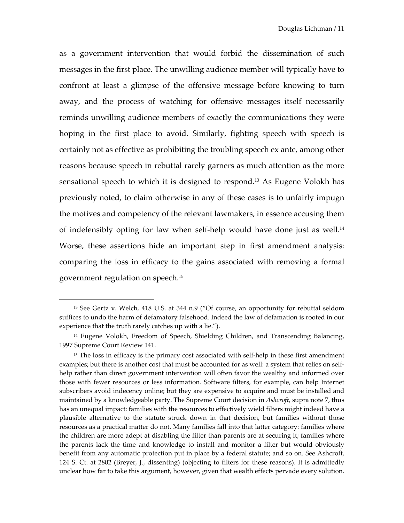<span id="page-11-2"></span>as a government intervention that would forbid the dissemination of such messages in the first place. The unwilling audience member will typically have to confront at least a glimpse of the offensive message before knowing to turn away, and the process of watching for offensive messages itself necessarily reminds unwilling audience members of exactly the communications they were hoping in the first place to avoid. Similarly, fighting speech with speech is certainly not as effective as prohibiting the troubling speech ex ante, among other reasons because speech in rebuttal rarely garners as much attention as the more sensational speech to which it is designed to respond.[13](#page-11-0) As Eugene Volokh has previously noted, to claim otherwise in any of these cases is to unfairly impugn the motives and competency of the relevant lawmakers, in essence accusing them of indefensibly opting for law when self-help would have done just as well.[14](#page-11-1) Worse, these assertions hide an important step in first amendment analysis: comparing the loss in efficacy to the gains associated with removing a formal government regulation on speech.[15](#page-11-2)

<span id="page-11-0"></span><sup>13</sup> See Gertz v. Welch, 418 U.S. at 344 n.9 ("Of course, an opportunity for rebuttal seldom suffices to undo the harm of defamatory falsehood. Indeed the law of defamation is rooted in our experience that the truth rarely catches up with a lie.").

<span id="page-11-1"></span><sup>14</sup> Eugene Volokh, Freedom of Speech, Shielding Children, and Transcending Balancing, 1997 Supreme Court Review 141.

 $15$  The loss in efficacy is the primary cost associated with self-help in these first amendment examples; but there is another cost that must be accounted for as well: a system that relies on selfhelp rather than direct government intervention will often favor the wealthy and informed over those with fewer resources or less information. Software filters, for example, can help Internet subscribers avoid indecency online; but they are expensive to acquire and must be installed and maintained by a knowledgeable party. The Supreme Court decision in *Ashcroft*, supra note 7, thus has an unequal impact: families with the resources to effectively wield filters might indeed have a plausible alternative to the statute struck down in that decision, but families without those resources as a practical matter do not. Many families fall into that latter category: families where the children are more adept at disabling the filter than parents are at securing it; families where the parents lack the time and knowledge to install and monitor a filter but would obviously benefit from any automatic protection put in place by a federal statute; and so on. See Ashcroft, 124 S. Ct. at 2802 (Breyer, J., dissenting) (objecting to filters for these reasons). It is admittedly unclear how far to take this argument, however, given that wealth effects pervade every solution.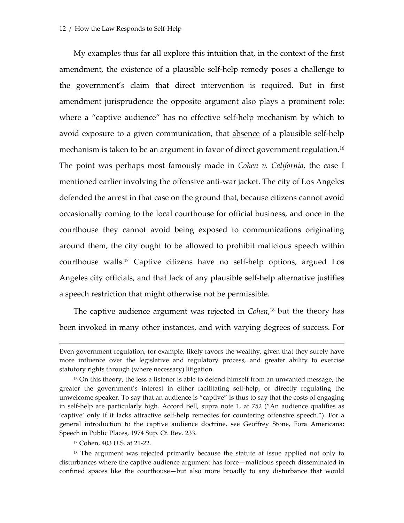<span id="page-12-2"></span>My examples thus far all explore this intuition that, in the context of the first amendment, the existence of a plausible self-help remedy poses a challenge to the government's claim that direct intervention is required. But in first amendment jurisprudence the opposite argument also plays a prominent role: where a "captive audience" has no effective self-help mechanism by which to avoid exposure to a given communication, that absence of a plausible self-help mechanism is taken to be an argument in favor of direct government regulation.<sup>[16](#page-12-0)</sup> The point was perhaps most famously made in *Cohen v. California*, the case I mentioned earlier involving the offensive anti-war jacket. The city of Los Angeles defended the arrest in that case on the ground that, because citizens cannot avoid occasionally coming to the local courthouse for official business, and once in the courthouse they cannot avoid being exposed to communications originating around them, the city ought to be allowed to prohibit malicious speech within courthouse walls[.17](#page-12-1) Captive citizens have no self-help options, argued Los Angeles city officials, and that lack of any plausible self-help alternative justifies a speech restriction that might otherwise not be permissible.

The captive audience argument was rejected in *Cohen*, [18](#page-12-2) but the theory has been invoked in many other instances, and with varying degrees of success. For

Even government regulation, for example, likely favors the wealthy, given that they surely have more influence over the legislative and regulatory process, and greater ability to exercise statutory rights through (where necessary) litigation.

<span id="page-12-0"></span> $16$  On this theory, the less a listener is able to defend himself from an unwanted message, the greater the government's interest in either facilitating self-help, or directly regulating the unwelcome speaker. To say that an audience is "captive" is thus to say that the costs of engaging in self-help are particularly high. Accord Bell, supra note 1, at 752 ("An audience qualifies as 'captive' only if it lacks attractive self-help remedies for countering offensive speech."). For a general introduction to the captive audience doctrine, see Geoffrey Stone, Fora Americana: Speech in Public Places, 1974 Sup. Ct. Rev. 233.

<span id="page-12-1"></span><sup>17</sup> Cohen, 403 U.S. at 21-22.

<sup>&</sup>lt;sup>18</sup> The argument was rejected primarily because the statute at issue applied not only to disturbances where the captive audience argument has force—malicious speech disseminated in confined spaces like the courthouse—but also more broadly to any disturbance that would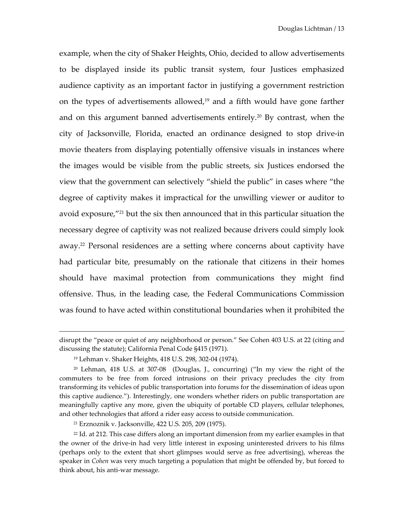example, when the city of Shaker Heights, Ohio, decided to allow advertisements to be displayed inside its public transit system, four Justices emphasized audience captivity as an important factor in justifying a government restriction on the types of advertisements allowed, $19$  and a fifth would have gone farther and on this argument banned advertisements entirely.<sup>20</sup> By contrast, when the city of Jacksonville, Florida, enacted an ordinance designed to stop drive-in movie theaters from displaying potentially offensive visuals in instances where the images would be visible from the public streets, six Justices endorsed the view that the government can selectively "shield the public" in cases where "the degree of captivity makes it impractical for the unwilling viewer or auditor to avoid exposure,"[21](#page-13-2) but the six then announced that in this particular situation the necessary degree of captivity was not realized because drivers could simply look away.[22](#page-13-3) Personal residences are a setting where concerns about captivity have had particular bite, presumably on the rationale that citizens in their homes should have maximal protection from communications they might find offensive. Thus, in the leading case, the Federal Communications Commission was found to have acted within constitutional boundaries when it prohibited the

disrupt the "peace or quiet of any neighborhood or person." See Cohen 403 U.S. at 22 (citing and discussing the statute); California Penal Code §415 (1971).

<span id="page-13-1"></span><span id="page-13-0"></span><sup>19</sup> Lehman v. Shaker Heights, 418 U.S. 298, 302-04 (1974).

<sup>20</sup> Lehman, 418 U.S. at 307-08 (Douglas, J., concurring) ("In my view the right of the commuters to be free from forced intrusions on their privacy precludes the city from transforming its vehicles of public transportation into forums for the dissemination of ideas upon this captive audience."). Interestingly, one wonders whether riders on public transportation are meaningfully captive any more, given the ubiquity of portable CD players, cellular telephones, and other technologies that afford a rider easy access to outside communication.

<span id="page-13-3"></span><span id="page-13-2"></span><sup>21</sup> Erznoznik v. Jacksonville, 422 U.S. 205, 209 (1975).

 $22$  Id. at 212. This case differs along an important dimension from my earlier examples in that the owner of the drive-in had very little interest in exposing uninterested drivers to his films (perhaps only to the extent that short glimpses would serve as free advertising), whereas the speaker in *Cohen* was very much targeting a population that might be offended by, but forced to think about, his anti-war message.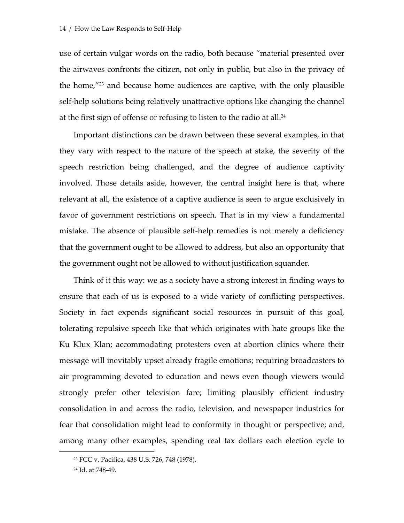use of certain vulgar words on the radio, both because "material presented over the airwaves confronts the citizen, not only in public, but also in the privacy of the home,"[23](#page-14-0) and because home audiences are captive, with the only plausible self-help solutions being relatively unattractive options like changing the channel at the first sign of offense or refusing to listen to the radio at all.[24](#page-14-1)

Important distinctions can be drawn between these several examples, in that they vary with respect to the nature of the speech at stake, the severity of the speech restriction being challenged, and the degree of audience captivity involved. Those details aside, however, the central insight here is that, where relevant at all, the existence of a captive audience is seen to argue exclusively in favor of government restrictions on speech. That is in my view a fundamental mistake. The absence of plausible self-help remedies is not merely a deficiency that the government ought to be allowed to address, but also an opportunity that the government ought not be allowed to without justification squander.

Think of it this way: we as a society have a strong interest in finding ways to ensure that each of us is exposed to a wide variety of conflicting perspectives. Society in fact expends significant social resources in pursuit of this goal, tolerating repulsive speech like that which originates with hate groups like the Ku Klux Klan; accommodating protesters even at abortion clinics where their message will inevitably upset already fragile emotions; requiring broadcasters to air programming devoted to education and news even though viewers would strongly prefer other television fare; limiting plausibly efficient industry consolidation in and across the radio, television, and newspaper industries for fear that consolidation might lead to conformity in thought or perspective; and, among many other examples, spending real tax dollars each election cycle to

<span id="page-14-0"></span><sup>23</sup> FCC v. Pacifica, 438 U.S. 726, 748 (1978).

<span id="page-14-1"></span><sup>24</sup> Id. at 748-49.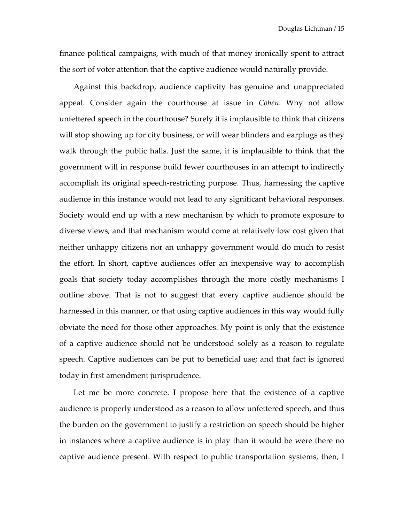finance political campaigns, with much of that money ironically spent to attract the sort of voter attention that the captive audience would naturally provide.

Against this backdrop, audience captivity has genuine and unappreciated appeal. Consider again the courthouse at issue in *Cohen*. Why not allow unfettered speech in the courthouse? Surely it is implausible to think that citizens will stop showing up for city business, or will wear blinders and earplugs as they walk through the public halls. Just the same, it is implausible to think that the government will in response build fewer courthouses in an attempt to indirectly accomplish its original speech-restricting purpose. Thus, harnessing the captive audience in this instance would not lead to any significant behavioral responses. Society would end up with a new mechanism by which to promote exposure to diverse views, and that mechanism would come at relatively low cost given that neither unhappy citizens nor an unhappy government would do much to resist the effort. In short, captive audiences offer an inexpensive way to accomplish goals that society today accomplishes through the more costly mechanisms I outline above. That is not to suggest that every captive audience should be harnessed in this manner, or that using captive audiences in this way would fully obviate the need for those other approaches. My point is only that the existence of a captive audience should not be understood solely as a reason to regulate speech. Captive audiences can be put to beneficial use; and that fact is ignored today in first amendment jurisprudence.

Let me be more concrete. I propose here that the existence of a captive audience is properly understood as a reason to allow unfettered speech, and thus the burden on the government to justify a restriction on speech should be higher in instances where a captive audience is in play than it would be were there no captive audience present. With respect to public transportation systems, then, I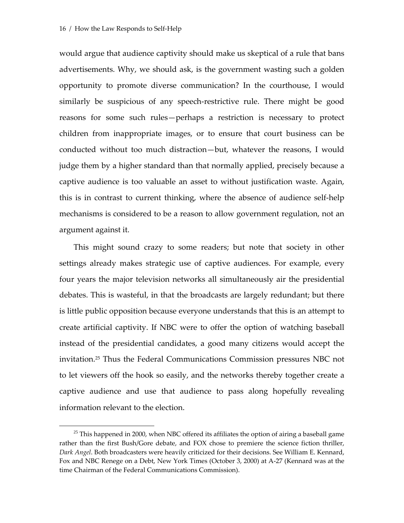would argue that audience captivity should make us skeptical of a rule that bans advertisements. Why, we should ask, is the government wasting such a golden opportunity to promote diverse communication? In the courthouse, I would similarly be suspicious of any speech-restrictive rule. There might be good reasons for some such rules—perhaps a restriction is necessary to protect children from inappropriate images, or to ensure that court business can be conducted without too much distraction—but, whatever the reasons, I would judge them by a higher standard than that normally applied, precisely because a captive audience is too valuable an asset to without justification waste. Again, this is in contrast to current thinking, where the absence of audience self-help mechanisms is considered to be a reason to allow government regulation, not an argument against it.

This might sound crazy to some readers; but note that society in other settings already makes strategic use of captive audiences. For example, every four years the major television networks all simultaneously air the presidential debates. This is wasteful, in that the broadcasts are largely redundant; but there is little public opposition because everyone understands that this is an attempt to create artificial captivity. If NBC were to offer the option of watching baseball instead of the presidential candidates, a good many citizens would accept the invitation.[25](#page-16-0) Thus the Federal Communications Commission pressures NBC not to let viewers off the hook so easily, and the networks thereby together create a captive audience and use that audience to pass along hopefully revealing information relevant to the election.

<span id="page-16-0"></span> $25$  This happened in 2000, when NBC offered its affiliates the option of airing a baseball game rather than the first Bush/Gore debate, and FOX chose to premiere the science fiction thriller, *Dark Angel*. Both broadcasters were heavily criticized for their decisions. See William E. Kennard, Fox and NBC Renege on a Debt, New York Times (October 3, 2000) at A-27 (Kennard was at the time Chairman of the Federal Communications Commission).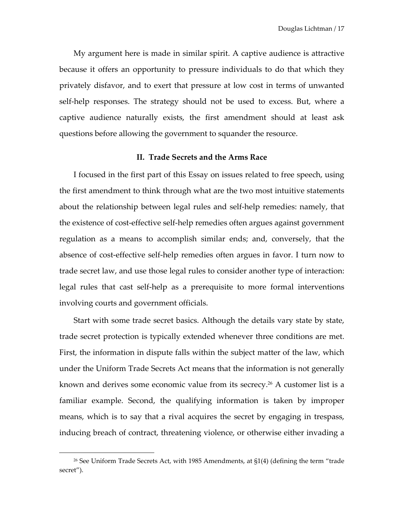My argument here is made in similar spirit. A captive audience is attractive because it offers an opportunity to pressure individuals to do that which they privately disfavor, and to exert that pressure at low cost in terms of unwanted self-help responses. The strategy should not be used to excess. But, where a captive audience naturally exists, the first amendment should at least ask questions before allowing the government to squander the resource.

#### **II. Trade Secrets and the Arms Race**

I focused in the first part of this Essay on issues related to free speech, using the first amendment to think through what are the two most intuitive statements about the relationship between legal rules and self-help remedies: namely, that the existence of cost-effective self-help remedies often argues against government regulation as a means to accomplish similar ends; and, conversely, that the absence of cost-effective self-help remedies often argues in favor. I turn now to trade secret law, and use those legal rules to consider another type of interaction: legal rules that cast self-help as a prerequisite to more formal interventions involving courts and government officials.

Start with some trade secret basics. Although the details vary state by state, trade secret protection is typically extended whenever three conditions are met. First, the information in dispute falls within the subject matter of the law, which under the Uniform Trade Secrets Act means that the information is not generally known and derives some economic value from its secrecy.<sup>26</sup> A customer list is a familiar example. Second, the qualifying information is taken by improper means, which is to say that a rival acquires the secret by engaging in trespass, inducing breach of contract, threatening violence, or otherwise either invading a

<span id="page-17-0"></span><sup>26</sup> See Uniform Trade Secrets Act, with 1985 Amendments, at §1(4) (defining the term "trade secret").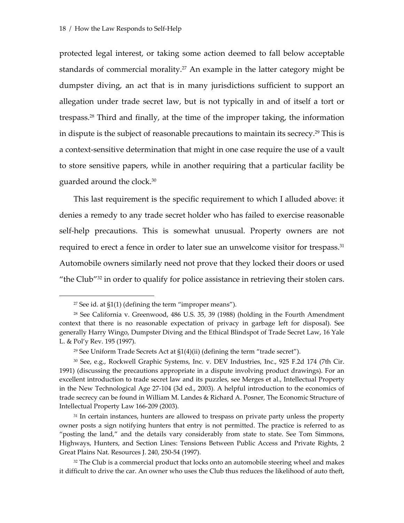<span id="page-18-5"></span>protected legal interest, or taking some action deemed to fall below acceptable standards of commercial morality.<sup>27</sup> An example in the latter category might be dumpster diving, an act that is in many jurisdictions sufficient to support an allegation under trade secret law, but is not typically in and of itself a tort or trespass.[28](#page-18-1) Third and finally, at the time of the improper taking, the information in dispute is the subject of reasonable precautions to maintain its secrecy.<sup>29</sup> This is a context-sensitive determination that might in one case require the use of a vault to store sensitive papers, while in another requiring that a particular facility be guarded around the clock.[30](#page-18-3)

This last requirement is the specific requirement to which I alluded above: it denies a remedy to any trade secret holder who has failed to exercise reasonable self-help precautions. This is somewhat unusual. Property owners are not required to erect a fence in order to later sue an unwelcome visitor for trespass.<sup>[31](#page-18-4)</sup> Automobile owners similarly need not prove that they locked their doors or used "the Club"[32](#page-18-5) in order to qualify for police assistance in retrieving their stolen cars.

<span id="page-18-1"></span><span id="page-18-0"></span><sup>&</sup>lt;sup>27</sup> See id. at  $$1(1)$  (defining the term "improper means").

<sup>28</sup> See California v. Greenwood, 486 U.S. 35, 39 (1988) (holding in the Fourth Amendment context that there is no reasonable expectation of privacy in garbage left for disposal). See generally Harry Wingo, Dumpster Diving and the Ethical Blindspot of Trade Secret Law, 16 Yale L. & Pol'y Rev. 195 (1997).

<span id="page-18-3"></span><span id="page-18-2"></span><sup>29</sup> See Uniform Trade Secrets Act at §1(4)(ii) (defining the term "trade secret").

<sup>30</sup> See, e.g., Rockwell Graphic Systems, Inc. v. DEV Industries, Inc., 925 F.2d 174 (7th Cir. 1991) (discussing the precautions appropriate in a dispute involving product drawings). For an excellent introduction to trade secret law and its puzzles, see Merges et al., Intellectual Property in the New Technological Age 27-104 (3d ed., 2003). A helpful introduction to the economics of trade secrecy can be found in William M. Landes & Richard A. Posner, The Economic Structure of Intellectual Property Law 166-209 (2003).

<span id="page-18-4"></span><sup>&</sup>lt;sup>31</sup> In certain instances, hunters are allowed to trespass on private party unless the property owner posts a sign notifying hunters that entry is not permitted. The practice is referred to as "posting the land," and the details vary considerably from state to state. See Tom Simmons, Highways, Hunters, and Section Lines: Tensions Between Public Access and Private Rights, 2 Great Plains Nat. Resources J. 240, 250-54 (1997).

<sup>&</sup>lt;sup>32</sup> The Club is a commercial product that locks onto an automobile steering wheel and makes it difficult to drive the car. An owner who uses the Club thus reduces the likelihood of auto theft,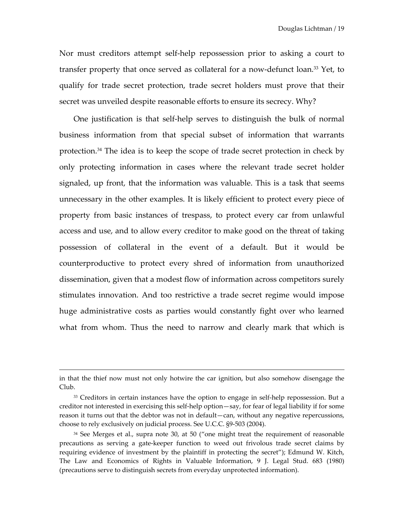Nor must creditors attempt self-help repossession prior to asking a court to transfer property that once served as collateral for a now-defunct loan.[33](#page-19-0) Yet, to qualify for trade secret protection, trade secret holders must prove that their secret was unveiled despite reasonable efforts to ensure its secrecy. Why?

One justification is that self-help serves to distinguish the bulk of normal business information from that special subset of information that warrants protection.[34](#page-19-1) The idea is to keep the scope of trade secret protection in check by only protecting information in cases where the relevant trade secret holder signaled, up front, that the information was valuable. This is a task that seems unnecessary in the other examples. It is likely efficient to protect every piece of property from basic instances of trespass, to protect every car from unlawful access and use, and to allow every creditor to make good on the threat of taking possession of collateral in the event of a default. But it would be counterproductive to protect every shred of information from unauthorized dissemination, given that a modest flow of information across competitors surely stimulates innovation. And too restrictive a trade secret regime would impose huge administrative costs as parties would constantly fight over who learned what from whom. Thus the need to narrow and clearly mark that which is

<u>.</u>

in that the thief now must not only hotwire the car ignition, but also somehow disengage the Club.

<span id="page-19-0"></span><sup>&</sup>lt;sup>33</sup> Creditors in certain instances have the option to engage in self-help repossession. But a creditor not interested in exercising this self-help option—say, for fear of legal liability if for some reason it turns out that the debtor was not in default—can, without any negative repercussions, choose to rely exclusively on judicial process. See U.C.C. §9-503 (2004).

<span id="page-19-1"></span><sup>&</sup>lt;sup>34</sup> See Merges et al., supra note 30, at 50 ("one might treat the requirement of reasonable precautions as serving a gate-keeper function to weed out frivolous trade secret claims by requiring evidence of investment by the plaintiff in protecting the secret"); Edmund W. Kitch, The Law and Economics of Rights in Valuable Information, 9 J. Legal Stud. 683 (1980) (precautions serve to distinguish secrets from everyday unprotected information).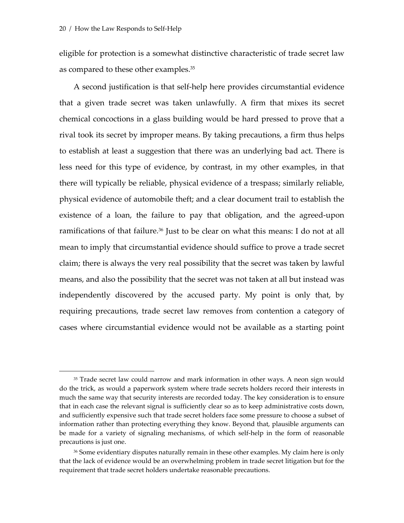$\overline{a}$ 

eligible for protection is a somewhat distinctive characteristic of trade secret law as compared to these other examples.[35](#page-20-0)

A second justification is that self-help here provides circumstantial evidence that a given trade secret was taken unlawfully. A firm that mixes its secret chemical concoctions in a glass building would be hard pressed to prove that a rival took its secret by improper means. By taking precautions, a firm thus helps to establish at least a suggestion that there was an underlying bad act. There is less need for this type of evidence, by contrast, in my other examples, in that there will typically be reliable, physical evidence of a trespass; similarly reliable, physical evidence of automobile theft; and a clear document trail to establish the existence of a loan, the failure to pay that obligation, and the agreed-upon ramifications of that failure.<sup>36</sup> Just to be clear on what this means: I do not at all mean to imply that circumstantial evidence should suffice to prove a trade secret claim; there is always the very real possibility that the secret was taken by lawful means, and also the possibility that the secret was not taken at all but instead was independently discovered by the accused party. My point is only that, by requiring precautions, trade secret law removes from contention a category of cases where circumstantial evidence would not be available as a starting point

<span id="page-20-0"></span><sup>&</sup>lt;sup>35</sup> Trade secret law could narrow and mark information in other ways. A neon sign would do the trick, as would a paperwork system where trade secrets holders record their interests in much the same way that security interests are recorded today. The key consideration is to ensure that in each case the relevant signal is sufficiently clear so as to keep administrative costs down, and sufficiently expensive such that trade secret holders face some pressure to choose a subset of information rather than protecting everything they know. Beyond that, plausible arguments can be made for a variety of signaling mechanisms, of which self-help in the form of reasonable precautions is just one.

<span id="page-20-1"></span><sup>&</sup>lt;sup>36</sup> Some evidentiary disputes naturally remain in these other examples. My claim here is only that the lack of evidence would be an overwhelming problem in trade secret litigation but for the requirement that trade secret holders undertake reasonable precautions.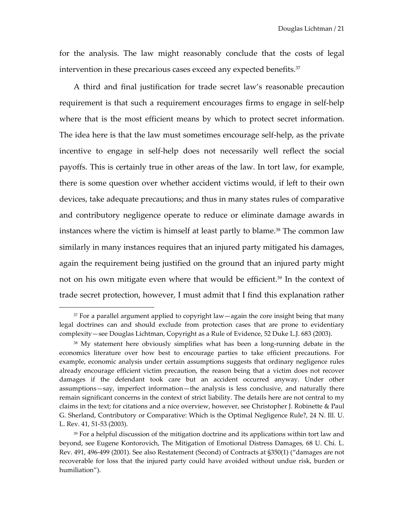for the analysis. The law might reasonably conclude that the costs of legal intervention in these precarious cases exceed any expected benefits.<sup>[37](#page-21-0)</sup>

A third and final justification for trade secret law's reasonable precaution requirement is that such a requirement encourages firms to engage in self-help where that is the most efficient means by which to protect secret information. The idea here is that the law must sometimes encourage self-help, as the private incentive to engage in self-help does not necessarily well reflect the social payoffs. This is certainly true in other areas of the law. In tort law, for example, there is some question over whether accident victims would, if left to their own devices, take adequate precautions; and thus in many states rules of comparative and contributory negligence operate to reduce or eliminate damage awards in instances where the victim is himself at least partly to blame.<sup>38</sup> The common law similarly in many instances requires that an injured party mitigated his damages, again the requirement being justified on the ground that an injured party might not on his own mitigate even where that would be efficient.<sup>39</sup> In the context of trade secret protection, however, I must admit that I find this explanation rather

<span id="page-21-0"></span> $37$  For a parallel argument applied to copyright law—again the core insight being that many legal doctrines can and should exclude from protection cases that are prone to evidentiary complexity—see Douglas Lichtman, Copyright as a Rule of Evidence, 52 Duke L.J. 683 (2003).

<span id="page-21-1"></span><sup>38</sup> My statement here obviously simplifies what has been a long-running debate in the economics literature over how best to encourage parties to take efficient precautions. For example, economic analysis under certain assumptions suggests that ordinary negligence rules already encourage efficient victim precaution, the reason being that a victim does not recover damages if the defendant took care but an accident occurred anyway. Under other assumptions—say, imperfect information—the analysis is less conclusive, and naturally there remain significant concerns in the context of strict liability. The details here are not central to my claims in the text; for citations and a nice overview, however, see Christopher J. Robinette & Paul G. Sherland, Contributory or Comparative: Which is the Optimal Negligence Rule?, 24 N. Ill. U. L. Rev. 41, 51-53 (2003).

<span id="page-21-2"></span><sup>39</sup> For a helpful discussion of the mitigation doctrine and its applications within tort law and beyond, see Eugene Kontorovich, The Mitigation of Emotional Distress Damages, 68 U. Chi. L. Rev. 491, 496-499 (2001). See also Restatement (Second) of Contracts at §350(1) ("damages are not recoverable for loss that the injured party could have avoided without undue risk, burden or humiliation").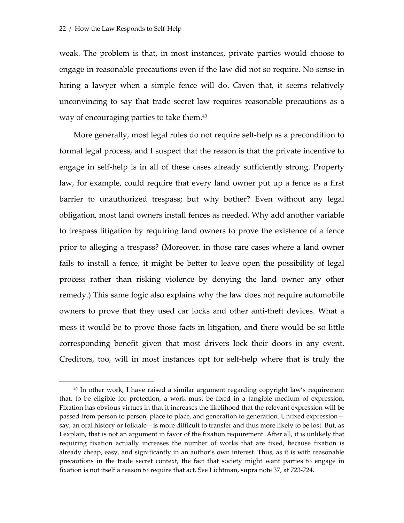$\overline{a}$ 

weak. The problem is that, in most instances, private parties would choose to engage in reasonable precautions even if the law did not so require. No sense in hiring a lawyer when a simple fence will do. Given that, it seems relatively unconvincing to say that trade secret law requires reasonable precautions as a way of encouraging parties to take them.[40](#page-22-0)

More generally, most legal rules do not require self-help as a precondition to formal legal process, and I suspect that the reason is that the private incentive to engage in self-help is in all of these cases already sufficiently strong. Property law, for example, could require that every land owner put up a fence as a first barrier to unauthorized trespass; but why bother? Even without any legal obligation, most land owners install fences as needed. Why add another variable to trespass litigation by requiring land owners to prove the existence of a fence prior to alleging a trespass? (Moreover, in those rare cases where a land owner fails to install a fence, it might be better to leave open the possibility of legal process rather than risking violence by denying the land owner any other remedy.) This same logic also explains why the law does not require automobile owners to prove that they used car locks and other anti-theft devices. What a mess it would be to prove those facts in litigation, and there would be so little corresponding benefit given that most drivers lock their doors in any event. Creditors, too, will in most instances opt for self-help where that is truly the

<span id="page-22-0"></span><sup>40</sup> In other work, I have raised a similar argument regarding copyright law's requirement that, to be eligible for protection, a work must be fixed in a tangible medium of expression. Fixation has obvious virtues in that it increases the likelihood that the relevant expression will be passed from person to person, place to place, and generation to generation. Unfixed expression say, an oral history or folktale—is more difficult to transfer and thus more likely to be lost. But, as I explain, that is not an argument in favor of the fixation requirement. After all, it is unlikely that requiring fixation actually increases the number of works that are fixed, because fixation is already cheap, easy, and significantly in an author's own interest. Thus, as it is with reasonable precautions in the trade secret context, the fact that society might want parties to engage in fixation is not itself a reason to require that act. See Lichtman, supra note 37, at 723-724.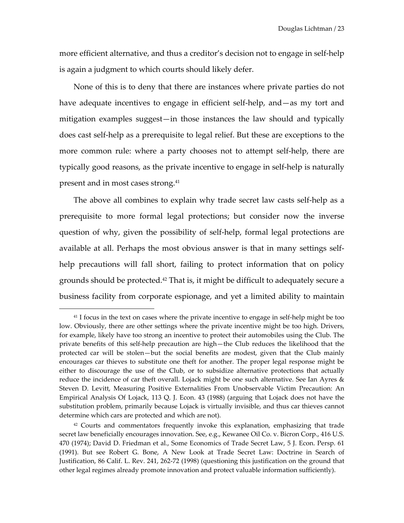more efficient alternative, and thus a creditor's decision not to engage in self-help is again a judgment to which courts should likely defer.

None of this is to deny that there are instances where private parties do not have adequate incentives to engage in efficient self-help, and—as my tort and mitigation examples suggest—in those instances the law should and typically does cast self-help as a prerequisite to legal relief. But these are exceptions to the more common rule: where a party chooses not to attempt self-help, there are typically good reasons, as the private incentive to engage in self-help is naturally present and in most cases strong.[41](#page-23-0)

The above all combines to explain why trade secret law casts self-help as a prerequisite to more formal legal protections; but consider now the inverse question of why, given the possibility of self-help, formal legal protections are available at all. Perhaps the most obvious answer is that in many settings selfhelp precautions will fall short, failing to protect information that on policy grounds should be protected.<sup>42</sup> That is, it might be difficult to adequately secure a business facility from corporate espionage, and yet a limited ability to maintain

<span id="page-23-0"></span><sup>&</sup>lt;sup>41</sup> I focus in the text on cases where the private incentive to engage in self-help might be too low. Obviously, there are other settings where the private incentive might be too high. Drivers, for example, likely have too strong an incentive to protect their automobiles using the Club. The private benefits of this self-help precaution are high—the Club reduces the likelihood that the protected car will be stolen—but the social benefits are modest, given that the Club mainly encourages car thieves to substitute one theft for another. The proper legal response might be either to discourage the use of the Club, or to subsidize alternative protections that actually reduce the incidence of car theft overall. Lojack might be one such alternative. See Ian Ayres & Steven D. Levitt, Measuring Positive Externalities From Unobservable Victim Precaution: An Empirical Analysis Of Lojack, 113 Q. J. Econ. 43 (1988) (arguing that Lojack does not have the substitution problem, primarily because Lojack is virtually invisible, and thus car thieves cannot determine which cars are protected and which are not).

<span id="page-23-1"></span><sup>&</sup>lt;sup>42</sup> Courts and commentators frequently invoke this explanation, emphasizing that trade secret law beneficially encourages innovation. See, e.g., Kewanee Oil Co. v. Bicron Corp., 416 U.S. 470 (1974); David D. Friedman et al., Some Economics of Trade Secret Law, 5 J. Econ. Persp. 61 (1991). But see Robert G. Bone, A New Look at Trade Secret Law: Doctrine in Search of Justification, 86 Calif. L. Rev. 241, 262-72 (1998) (questioning this justification on the ground that other legal regimes already promote innovation and protect valuable information sufficiently).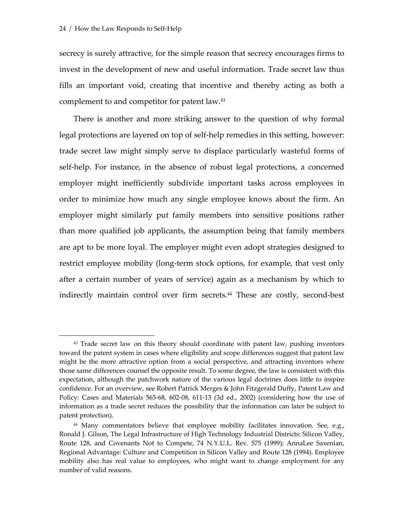1

secrecy is surely attractive, for the simple reason that secrecy encourages firms to invest in the development of new and useful information. Trade secret law thus fills an important void, creating that incentive and thereby acting as both a complement to and competitor for patent law.[43](#page-24-0)

There is another and more striking answer to the question of why formal legal protections are layered on top of self-help remedies in this setting, however: trade secret law might simply serve to displace particularly wasteful forms of self-help. For instance, in the absence of robust legal protections, a concerned employer might inefficiently subdivide important tasks across employees in order to minimize how much any single employee knows about the firm. An employer might similarly put family members into sensitive positions rather than more qualified job applicants, the assumption being that family members are apt to be more loyal. The employer might even adopt strategies designed to restrict employee mobility (long-term stock options, for example, that vest only after a certain number of years of service) again as a mechanism by which to indirectly maintain control over firm secrets.<sup>44</sup> These are costly, second-best

<span id="page-24-0"></span><sup>&</sup>lt;sup>43</sup> Trade secret law on this theory should coordinate with patent law, pushing inventors toward the patent system in cases where eligibility and scope differences suggest that patent law might be the more attractive option from a social perspective, and attracting inventors where those same differences counsel the opposite result. To some degree, the law is consistent with this expectation, although the patchwork nature of the various legal doctrines does little to inspire confidence. For an overview, see Robert Patrick Merges & John Fitzgerald Duffy, Patent Law and Policy: Cases and Materials 565-68, 602-08, 611-13 (3d ed., 2002) (considering how the use of information as a trade secret reduces the possibility that the information can later be subject to patent protection).

<span id="page-24-1"></span><sup>&</sup>lt;sup>44</sup> Many commentators believe that employee mobility facilitates innovation. See, e.g., Ronald J. Gilson, The Legal Infrastructure of High Technology Industrial Districts: Silicon Valley, Route 128, and Covenants Not to Compete, 74 N.Y.U.L. Rev. 575 (1999); AnnaLee Saxenian, Regional Advantage: Culture and Competition in Silicon Valley and Route 128 (1994). Employee mobility also has real value to employees, who might want to change employment for any number of valid reasons.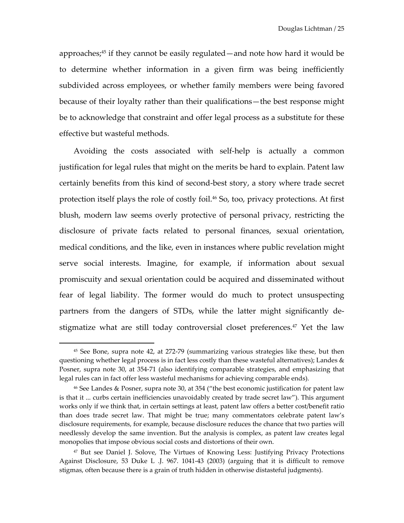approaches;[45](#page-25-0) if they cannot be easily regulated—and note how hard it would be to determine whether information in a given firm was being inefficiently subdivided across employees, or whether family members were being favored because of their loyalty rather than their qualifications—the best response might be to acknowledge that constraint and offer legal process as a substitute for these effective but wasteful methods.

Avoiding the costs associated with self-help is actually a common justification for legal rules that might on the merits be hard to explain. Patent law certainly benefits from this kind of second-best story, a story where trade secret protection itself plays the role of costly foil.<sup>46</sup> So, too, privacy protections. At first blush, modern law seems overly protective of personal privacy, restricting the disclosure of private facts related to personal finances, sexual orientation, medical conditions, and the like, even in instances where public revelation might serve social interests. Imagine, for example, if information about sexual promiscuity and sexual orientation could be acquired and disseminated without fear of legal liability. The former would do much to protect unsuspecting partners from the dangers of STDs, while the latter might significantly destigmatize what are still today controversial closet preferences.<sup>47</sup> Yet the law

<u>.</u>

<span id="page-25-0"></span><sup>45</sup> See Bone, supra note 42, at 272-79 (summarizing various strategies like these, but then questioning whether legal process is in fact less costly than these wasteful alternatives); Landes & Posner, supra note 30, at 354-71 (also identifying comparable strategies, and emphasizing that legal rules can in fact offer less wasteful mechanisms for achieving comparable ends).

<span id="page-25-1"></span><sup>46</sup> See Landes & Posner, supra note 30, at 354 ("the best economic justification for patent law is that it ... curbs certain inefficiencies unavoidably created by trade secret law"). This argument works only if we think that, in certain settings at least, patent law offers a better cost/benefit ratio than does trade secret law. That might be true; many commentators celebrate patent law's disclosure requirements, for example, because disclosure reduces the chance that two parties will needlessly develop the same invention. But the analysis is complex, as patent law creates legal monopolies that impose obvious social costs and distortions of their own.

<span id="page-25-2"></span><sup>47</sup> But see Daniel J. Solove, The Virtues of Knowing Less: Justifying Privacy Protections Against Disclosure, 53 Duke L .J. 967. 1041-43 (2003) (arguing that it is difficult to remove stigmas, often because there is a grain of truth hidden in otherwise distasteful judgments).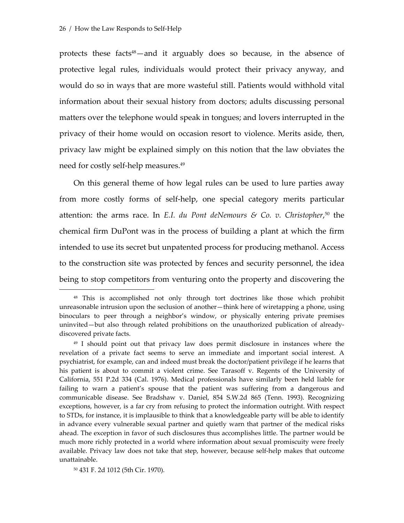protects these facts<sup>48</sup>—and it arguably does so because, in the absence of protective legal rules, individuals would protect their privacy anyway, and would do so in ways that are more wasteful still. Patients would withhold vital information about their sexual history from doctors; adults discussing personal matters over the telephone would speak in tongues; and lovers interrupted in the privacy of their home would on occasion resort to violence. Merits aside, then, privacy law might be explained simply on this notion that the law obviates the need for costly self-help measures[.49](#page-26-1)

On this general theme of how legal rules can be used to lure parties away from more costly forms of self-help, one special category merits particular attention: the arms race. In *E.I. du Pont deNemours & Co. v. Christopher*, [50](#page-26-2) the chemical firm DuPont was in the process of building a plant at which the firm intended to use its secret but unpatented process for producing methanol. Access to the construction site was protected by fences and security personnel, the idea being to stop competitors from venturing onto the property and discovering the

<span id="page-26-2"></span>50 431 F. 2d 1012 (5th Cir. 1970).

<span id="page-26-0"></span><sup>48</sup> This is accomplished not only through tort doctrines like those which prohibit unreasonable intrusion upon the seclusion of another—think here of wiretapping a phone, using binoculars to peer through a neighbor's window, or physically entering private premises uninvited—but also through related prohibitions on the unauthorized publication of alreadydiscovered private facts.

<span id="page-26-1"></span><sup>49</sup> I should point out that privacy law does permit disclosure in instances where the revelation of a private fact seems to serve an immediate and important social interest. A psychiatrist, for example, can and indeed must break the doctor/patient privilege if he learns that his patient is about to commit a violent crime. See Tarasoff v. Regents of the University of California, 551 P.2d 334 (Cal. 1976). Medical professionals have similarly been held liable for failing to warn a patient's spouse that the patient was suffering from a dangerous and communicable disease. See Bradshaw v. Daniel, 854 S.W.2d 865 (Tenn. 1993). Recognizing exceptions, however, is a far cry from refusing to protect the information outright. With respect to STDs, for instance, it is implausible to think that a knowledgeable party will be able to identify in advance every vulnerable sexual partner and quietly warn that partner of the medical risks ahead. The exception in favor of such disclosures thus accomplishes little. The partner would be much more richly protected in a world where information about sexual promiscuity were freely available. Privacy law does not take that step, however, because self-help makes that outcome unattainable.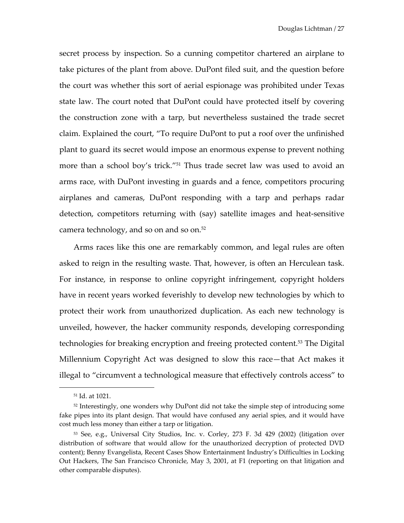secret process by inspection. So a cunning competitor chartered an airplane to take pictures of the plant from above. DuPont filed suit, and the question before the court was whether this sort of aerial espionage was prohibited under Texas state law. The court noted that DuPont could have protected itself by covering the construction zone with a tarp, but nevertheless sustained the trade secret claim. Explained the court, "To require DuPont to put a roof over the unfinished plant to guard its secret would impose an enormous expense to prevent nothing more than a school boy's trick.["51](#page-27-0) Thus trade secret law was used to avoid an arms race, with DuPont investing in guards and a fence, competitors procuring airplanes and cameras, DuPont responding with a tarp and perhaps radar detection, competitors returning with (say) satellite images and heat-sensitive camera technology, and so on and so on[.52](#page-27-1)

Arms races like this one are remarkably common, and legal rules are often asked to reign in the resulting waste. That, however, is often an Herculean task. For instance, in response to online copyright infringement, copyright holders have in recent years worked feverishly to develop new technologies by which to protect their work from unauthorized duplication. As each new technology is unveiled, however, the hacker community responds, developing corresponding technologies for breaking encryption and freeing protected content.[53](#page-27-2) The Digital Millennium Copyright Act was designed to slow this race—that Act makes it illegal to "circumvent a technological measure that effectively controls access" to

<span id="page-27-1"></span><span id="page-27-0"></span><sup>51</sup> Id. at 1021.

<sup>52</sup> Interestingly, one wonders why DuPont did not take the simple step of introducing some fake pipes into its plant design. That would have confused any aerial spies, and it would have cost much less money than either a tarp or litigation.

<span id="page-27-2"></span><sup>53</sup> See, e.g., Universal City Studios, Inc. v. Corley, 273 F. 3d 429 (2002) (litigation over distribution of software that would allow for the unauthorized decryption of protected DVD content); Benny Evangelista, Recent Cases Show Entertainment Industry's Difficulties in Locking Out Hackers, The San Francisco Chronicle, May 3, 2001, at F1 (reporting on that litigation and other comparable disputes).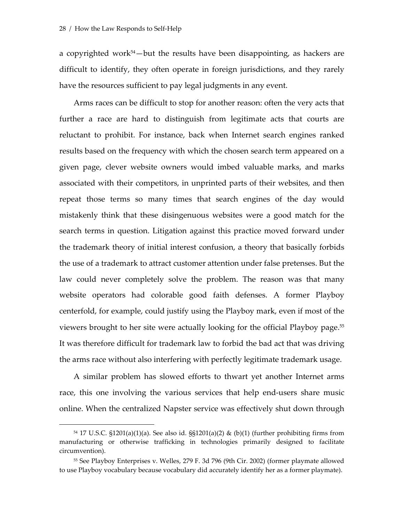1

a copyrighted work<sup>54</sup>—but the results have been disappointing, as hackers are difficult to identify, they often operate in foreign jurisdictions, and they rarely have the resources sufficient to pay legal judgments in any event.

Arms races can be difficult to stop for another reason: often the very acts that further a race are hard to distinguish from legitimate acts that courts are reluctant to prohibit. For instance, back when Internet search engines ranked results based on the frequency with which the chosen search term appeared on a given page, clever website owners would imbed valuable marks, and marks associated with their competitors, in unprinted parts of their websites, and then repeat those terms so many times that search engines of the day would mistakenly think that these disingenuous websites were a good match for the search terms in question. Litigation against this practice moved forward under the trademark theory of initial interest confusion, a theory that basically forbids the use of a trademark to attract customer attention under false pretenses. But the law could never completely solve the problem. The reason was that many website operators had colorable good faith defenses. A former Playboy centerfold, for example, could justify using the Playboy mark, even if most of the viewers brought to her site were actually looking for the official Playboy page.[55](#page-28-1) It was therefore difficult for trademark law to forbid the bad act that was driving the arms race without also interfering with perfectly legitimate trademark usage.

A similar problem has slowed efforts to thwart yet another Internet arms race, this one involving the various services that help end-users share music online. When the centralized Napster service was effectively shut down through

<span id="page-28-0"></span> $54$  17 U.S.C. §1201(a)(1)(a). See also id. §§1201(a)(2) & (b)(1) (further prohibiting firms from manufacturing or otherwise trafficking in technologies primarily designed to facilitate circumvention).

<span id="page-28-1"></span><sup>55</sup> See Playboy Enterprises v. Welles, 279 F. 3d 796 (9th Cir. 2002) (former playmate allowed to use Playboy vocabulary because vocabulary did accurately identify her as a former playmate).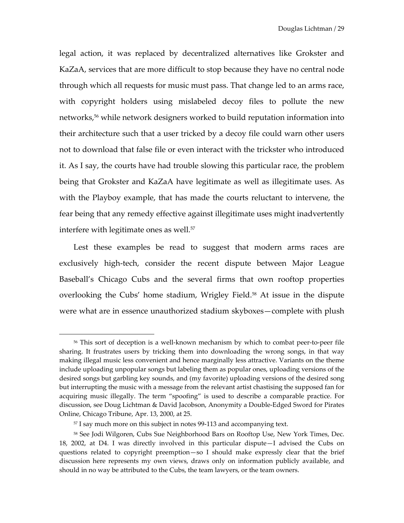legal action, it was replaced by decentralized alternatives like Grokster and KaZaA, services that are more difficult to stop because they have no central node through which all requests for music must pass. That change led to an arms race, with copyright holders using mislabeled decoy files to pollute the new networks,[56](#page-29-0) while network designers worked to build reputation information into their architecture such that a user tricked by a decoy file could warn other users not to download that false file or even interact with the trickster who introduced it. As I say, the courts have had trouble slowing this particular race, the problem being that Grokster and KaZaA have legitimate as well as illegitimate uses. As with the Playboy example, that has made the courts reluctant to intervene, the fear being that any remedy effective against illegitimate uses might inadvertently interfere with legitimate ones as well.<sup>[57](#page-29-1)</sup>

Lest these examples be read to suggest that modern arms races are exclusively high-tech, consider the recent dispute between Major League Baseball's Chicago Cubs and the several firms that own rooftop properties overlooking the Cubs' home stadium, Wrigley Field.<sup>58</sup> At issue in the dispute were what are in essence unauthorized stadium skyboxes—complete with plush

<u>.</u>

<span id="page-29-0"></span><sup>56</sup> This sort of deception is a well-known mechanism by which to combat peer-to-peer file sharing. It frustrates users by tricking them into downloading the wrong songs, in that way making illegal music less convenient and hence marginally less attractive. Variants on the theme include uploading unpopular songs but labeling them as popular ones, uploading versions of the desired songs but garbling key sounds, and (my favorite) uploading versions of the desired song but interrupting the music with a message from the relevant artist chastising the supposed fan for acquiring music illegally. The term "spoofing" is used to describe a comparable practice. For discussion, see Doug Lichtman & David Jacobson, Anonymity a Double-Edged Sword for Pirates Online, Chicago Tribune, Apr. 13, 2000, at 25.

<span id="page-29-2"></span><span id="page-29-1"></span><sup>&</sup>lt;sup>57</sup> I say much more on this subject in notes 99-113 and accompanying text.

<sup>58</sup> See Jodi Wilgoren, Cubs Sue Neighborhood Bars on Rooftop Use, New York Times, Dec. 18, 2002, at D4. I was directly involved in this particular dispute—I advised the Cubs on questions related to copyright preemption—so I should make expressly clear that the brief discussion here represents my own views, draws only on information publicly available, and should in no way be attributed to the Cubs, the team lawyers, or the team owners.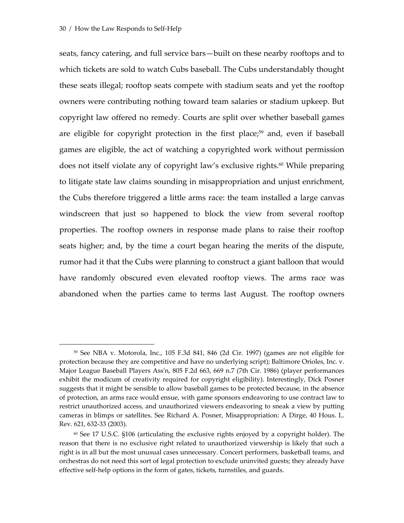1

seats, fancy catering, and full service bars—built on these nearby rooftops and to which tickets are sold to watch Cubs baseball. The Cubs understandably thought these seats illegal; rooftop seats compete with stadium seats and yet the rooftop owners were contributing nothing toward team salaries or stadium upkeep. But copyright law offered no remedy. Courts are split over whether baseball games are eligible for copyright protection in the first place;<sup>59</sup> and, even if baseball games are eligible, the act of watching a copyrighted work without permission does not itself violate any of copyright law's exclusive rights.<sup>60</sup> While preparing to litigate state law claims sounding in misappropriation and unjust enrichment, the Cubs therefore triggered a little arms race: the team installed a large canvas windscreen that just so happened to block the view from several rooftop properties. The rooftop owners in response made plans to raise their rooftop seats higher; and, by the time a court began hearing the merits of the dispute, rumor had it that the Cubs were planning to construct a giant balloon that would have randomly obscured even elevated rooftop views. The arms race was abandoned when the parties came to terms last August. The rooftop owners

<span id="page-30-0"></span><sup>59</sup> See NBA v. Motorola, Inc., 105 F.3d 841, 846 (2d Cir. 1997) (games are not eligible for protection because they are competitive and have no underlying script); Baltimore Orioles, Inc. v. Major League Baseball Players Ass'n, 805 F.2d 663, 669 n.7 (7th Cir. 1986) (player performances exhibit the modicum of creativity required for copyright eligibility). Interestingly, Dick Posner suggests that it might be sensible to allow baseball games to be protected because, in the absence of protection, an arms race would ensue, with game sponsors endeavoring to use contract law to restrict unauthorized access, and unauthorized viewers endeavoring to sneak a view by putting cameras in blimps or satellites. See Richard A. Posner, Misappropriation: A Dirge, 40 Hous. L. Rev. 621, 632-33 (2003).

<span id="page-30-1"></span> $60$  See 17 U.S.C. §106 (articulating the exclusive rights enjoyed by a copyright holder). The reason that there is no exclusive right related to unauthorized viewership is likely that such a right is in all but the most unusual cases unnecessary. Concert performers, basketball teams, and orchestras do not need this sort of legal protection to exclude uninvited guests; they already have effective self-help options in the form of gates, tickets, turnstiles, and guards.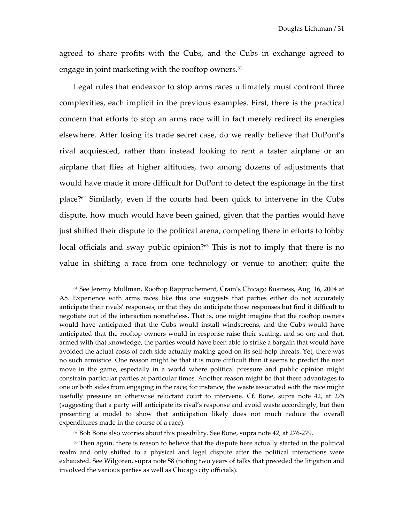agreed to share profits with the Cubs, and the Cubs in exchange agreed to engage in joint marketing with the rooftop owners. $61$ 

Legal rules that endeavor to stop arms races ultimately must confront three complexities, each implicit in the previous examples. First, there is the practical concern that efforts to stop an arms race will in fact merely redirect its energies elsewhere. After losing its trade secret case, do we really believe that DuPont's rival acquiesced, rather than instead looking to rent a faster airplane or an airplane that flies at higher altitudes, two among dozens of adjustments that would have made it more difficult for DuPont to detect the espionage in the first place[?62](#page-31-1) Similarly, even if the courts had been quick to intervene in the Cubs dispute, how much would have been gained, given that the parties would have just shifted their dispute to the political arena, competing there in efforts to lobby local officials and sway public opinion?<sup>63</sup> This is not to imply that there is no value in shifting a race from one technology or venue to another; quite the

<span id="page-31-0"></span><sup>61</sup> See Jeremy Mullman, Rooftop Rapprochement, Crain's Chicago Business, Aug. 16, 2004 at A5. Experience with arms races like this one suggests that parties either do not accurately anticipate their rivals' responses, or that they do anticipate those responses but find it difficult to negotiate out of the interaction nonetheless. That is, one might imagine that the rooftop owners would have anticipated that the Cubs would install windscreens, and the Cubs would have anticipated that the rooftop owners would in response raise their seating, and so on; and that, armed with that knowledge, the parties would have been able to strike a bargain that would have avoided the actual costs of each side actually making good on its self-help threats. Yet, there was no such armistice. One reason might be that it is more difficult than it seems to predict the next move in the game, especially in a world where political pressure and public opinion might constrain particular parties at particular times. Another reason might be that there advantages to one or both sides from engaging in the race; for instance, the waste associated with the race might usefully pressure an otherwise reluctant court to intervene. Cf. Bone, supra note 42, at 275 (suggesting that a party will anticipate its rival's response and avoid waste accordingly, but then presenting a model to show that anticipation likely does not much reduce the overall expenditures made in the course of a race).

<span id="page-31-2"></span><span id="page-31-1"></span> $62$  Bob Bone also worries about this possibility. See Bone, supra note 42, at 276-279.

 $63$  Then again, there is reason to believe that the dispute here actually started in the political realm and only shifted to a physical and legal dispute after the political interactions were exhausted. See Wilgoren, supra note 58 (noting two years of talks that preceded the litigation and involved the various parties as well as Chicago city officials).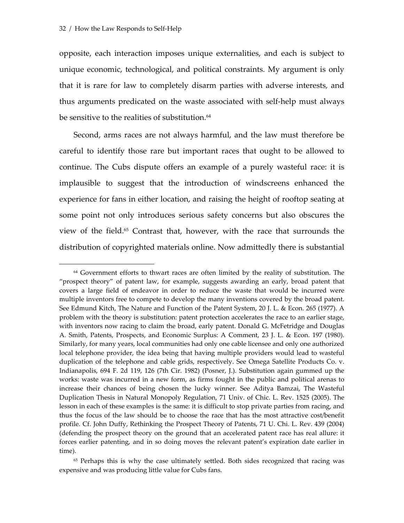$\overline{a}$ 

opposite, each interaction imposes unique externalities, and each is subject to unique economic, technological, and political constraints. My argument is only that it is rare for law to completely disarm parties with adverse interests, and thus arguments predicated on the waste associated with self-help must always be sensitive to the realities of substitution.<sup>[64](#page-32-0)</sup>

Second, arms races are not always harmful, and the law must therefore be careful to identify those rare but important races that ought to be allowed to continue. The Cubs dispute offers an example of a purely wasteful race: it is implausible to suggest that the introduction of windscreens enhanced the experience for fans in either location, and raising the height of rooftop seating at some point not only introduces serious safety concerns but also obscures the view of the field.[65](#page-32-1) Contrast that, however, with the race that surrounds the distribution of copyrighted materials online. Now admittedly there is substantial

<span id="page-32-0"></span><sup>64</sup> Government efforts to thwart races are often limited by the reality of substitution. The "prospect theory" of patent law, for example, suggests awarding an early, broad patent that covers a large field of endeavor in order to reduce the waste that would be incurred were multiple inventors free to compete to develop the many inventions covered by the broad patent. See Edmund Kitch, The Nature and Function of the Patent System, 20 J. L. & Econ. 265 (1977). A problem with the theory is substitution: patent protection accelerates the race to an earlier stage, with inventors now racing to claim the broad, early patent. Donald G. McFetridge and Douglas A. Smith, Patents, Prospects, and Economic Surplus: A Comment, 23 J. L. & Econ. 197 (1980). Similarly, for many years, local communities had only one cable licensee and only one authorized local telephone provider, the idea being that having multiple providers would lead to wasteful duplication of the telephone and cable grids, respectively. See Omega Satellite Products Co. v. Indianapolis, 694 F. 2d 119, 126 (7th Cir. 1982) (Posner, J.). Substitution again gummed up the works: waste was incurred in a new form, as firms fought in the public and political arenas to increase their chances of being chosen the lucky winner. See Aditya Bamzai, The Wasteful Duplication Thesis in Natural Monopoly Regulation, 71 Univ. of Chic. L. Rev. 1525 (2005). The lesson in each of these examples is the same: it is difficult to stop private parties from racing, and thus the focus of the law should be to choose the race that has the most attractive cost/benefit profile. Cf. John Duffy, Rethinking the Prospect Theory of Patents, 71 U. Chi. L. Rev. 439 (2004) (defending the prospect theory on the ground that an accelerated patent race has real allure: it forces earlier patenting, and in so doing moves the relevant patent's expiration date earlier in time).

<span id="page-32-1"></span><sup>65</sup> Perhaps this is why the case ultimately settled. Both sides recognized that racing was expensive and was producing little value for Cubs fans.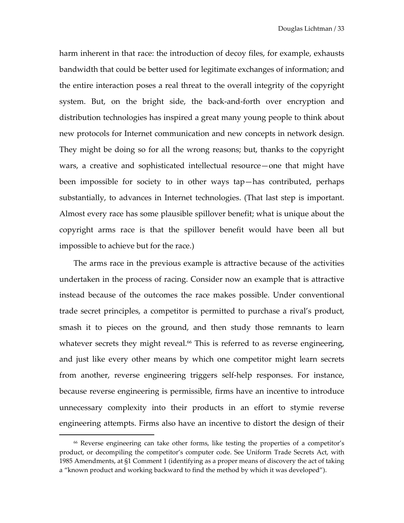harm inherent in that race: the introduction of decoy files, for example, exhausts bandwidth that could be better used for legitimate exchanges of information; and the entire interaction poses a real threat to the overall integrity of the copyright system. But, on the bright side, the back-and-forth over encryption and distribution technologies has inspired a great many young people to think about new protocols for Internet communication and new concepts in network design. They might be doing so for all the wrong reasons; but, thanks to the copyright wars, a creative and sophisticated intellectual resource—one that might have been impossible for society to in other ways tap—has contributed, perhaps substantially, to advances in Internet technologies. (That last step is important. Almost every race has some plausible spillover benefit; what is unique about the copyright arms race is that the spillover benefit would have been all but impossible to achieve but for the race.)

The arms race in the previous example is attractive because of the activities undertaken in the process of racing. Consider now an example that is attractive instead because of the outcomes the race makes possible. Under conventional trade secret principles, a competitor is permitted to purchase a rival's product, smash it to pieces on the ground, and then study those remnants to learn whatever secrets they might reveal.<sup>66</sup> This is referred to as reverse engineering, and just like every other means by which one competitor might learn secrets from another, reverse engineering triggers self-help responses. For instance, because reverse engineering is permissible, firms have an incentive to introduce unnecessary complexity into their products in an effort to stymie reverse engineering attempts. Firms also have an incentive to distort the design of their

<span id="page-33-0"></span><sup>66</sup> Reverse engineering can take other forms, like testing the properties of a competitor's product, or decompiling the competitor's computer code. See Uniform Trade Secrets Act, with 1985 Amendments, at §1 Comment 1 (identifying as a proper means of discovery the act of taking a "known product and working backward to find the method by which it was developed").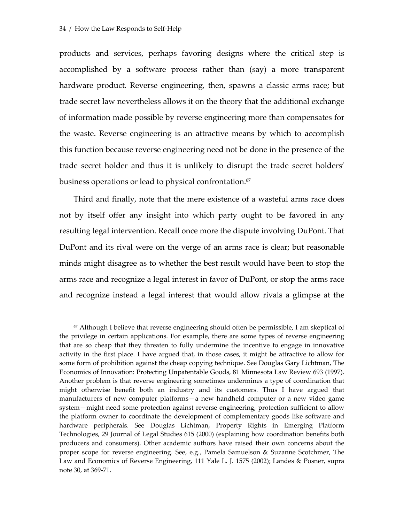1

products and services, perhaps favoring designs where the critical step is accomplished by a software process rather than (say) a more transparent hardware product. Reverse engineering, then, spawns a classic arms race; but trade secret law nevertheless allows it on the theory that the additional exchange of information made possible by reverse engineering more than compensates for the waste. Reverse engineering is an attractive means by which to accomplish this function because reverse engineering need not be done in the presence of the trade secret holder and thus it is unlikely to disrupt the trade secret holders' business operations or lead to physical confrontation.<sup>[67](#page-34-0)</sup>

Third and finally, note that the mere existence of a wasteful arms race does not by itself offer any insight into which party ought to be favored in any resulting legal intervention. Recall once more the dispute involving DuPont. That DuPont and its rival were on the verge of an arms race is clear; but reasonable minds might disagree as to whether the best result would have been to stop the arms race and recognize a legal interest in favor of DuPont, or stop the arms race and recognize instead a legal interest that would allow rivals a glimpse at the

<span id="page-34-0"></span><sup>&</sup>lt;sup>67</sup> Although I believe that reverse engineering should often be permissible, I am skeptical of the privilege in certain applications. For example, there are some types of reverse engineering that are so cheap that they threaten to fully undermine the incentive to engage in innovative activity in the first place. I have argued that, in those cases, it might be attractive to allow for some form of prohibition against the cheap copying technique. See Douglas Gary Lichtman, The Economics of Innovation: Protecting Unpatentable Goods, 81 Minnesota Law Review 693 (1997). Another problem is that reverse engineering sometimes undermines a type of coordination that might otherwise benefit both an industry and its customers. Thus I have argued that manufacturers of new computer platforms—a new handheld computer or a new video game system—might need some protection against reverse engineering, protection sufficient to allow the platform owner to coordinate the development of complementary goods like software and hardware peripherals. See Douglas Lichtman, Property Rights in Emerging Platform Technologies, 29 Journal of Legal Studies 615 (2000) (explaining how coordination benefits both producers and consumers). Other academic authors have raised their own concerns about the proper scope for reverse engineering. See, e.g., Pamela Samuelson & Suzanne Scotchmer, The Law and Economics of Reverse Engineering, 111 Yale L. J. 1575 (2002); Landes & Posner, supra note 30, at 369-71.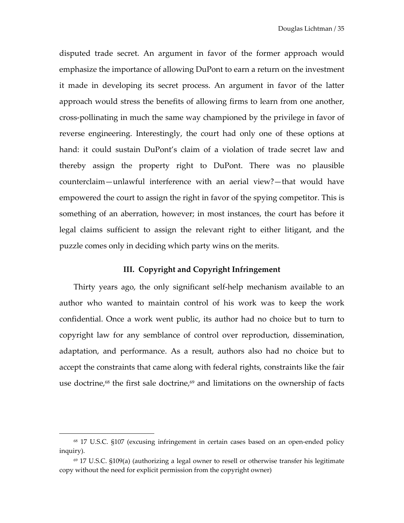disputed trade secret. An argument in favor of the former approach would emphasize the importance of allowing DuPont to earn a return on the investment it made in developing its secret process. An argument in favor of the latter approach would stress the benefits of allowing firms to learn from one another, cross-pollinating in much the same way championed by the privilege in favor of reverse engineering. Interestingly, the court had only one of these options at hand: it could sustain DuPont's claim of a violation of trade secret law and thereby assign the property right to DuPont. There was no plausible counterclaim—unlawful interference with an aerial view?—that would have empowered the court to assign the right in favor of the spying competitor. This is something of an aberration, however; in most instances, the court has before it legal claims sufficient to assign the relevant right to either litigant, and the puzzle comes only in deciding which party wins on the merits.

## **III. Copyright and Copyright Infringement**

Thirty years ago, the only significant self-help mechanism available to an author who wanted to maintain control of his work was to keep the work confidential. Once a work went public, its author had no choice but to turn to copyright law for any semblance of control over reproduction, dissemination, adaptation, and performance. As a result, authors also had no choice but to accept the constraints that came along with federal rights, constraints like the fair use doctrine, $68$  the first sale doctrine, $69$  and limitations on the ownership of facts

<span id="page-35-0"></span><sup>68 17</sup> U.S.C. §107 (excusing infringement in certain cases based on an open-ended policy inquiry).

<span id="page-35-1"></span> $69$  17 U.S.C. §109(a) (authorizing a legal owner to resell or otherwise transfer his legitimate copy without the need for explicit permission from the copyright owner)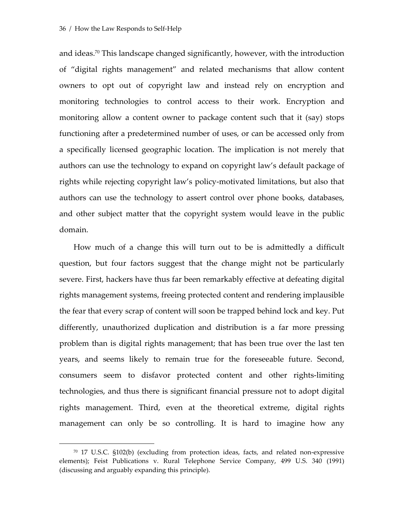$\overline{a}$ 

and ideas.<sup>70</sup> This landscape changed significantly, however, with the introduction of "digital rights management" and related mechanisms that allow content owners to opt out of copyright law and instead rely on encryption and monitoring technologies to control access to their work. Encryption and monitoring allow a content owner to package content such that it (say) stops functioning after a predetermined number of uses, or can be accessed only from a specifically licensed geographic location. The implication is not merely that authors can use the technology to expand on copyright law's default package of rights while rejecting copyright law's policy-motivated limitations, but also that authors can use the technology to assert control over phone books, databases, and other subject matter that the copyright system would leave in the public domain.

How much of a change this will turn out to be is admittedly a difficult question, but four factors suggest that the change might not be particularly severe. First, hackers have thus far been remarkably effective at defeating digital rights management systems, freeing protected content and rendering implausible the fear that every scrap of content will soon be trapped behind lock and key. Put differently, unauthorized duplication and distribution is a far more pressing problem than is digital rights management; that has been true over the last ten years, and seems likely to remain true for the foreseeable future. Second, consumers seem to disfavor protected content and other rights-limiting technologies, and thus there is significant financial pressure not to adopt digital rights management. Third, even at the theoretical extreme, digital rights management can only be so controlling. It is hard to imagine how any

<span id="page-36-0"></span> $70$  17 U.S.C. §102(b) (excluding from protection ideas, facts, and related non-expressive elements); Feist Publications v. Rural Telephone Service Company, 499 U.S. 340 (1991) (discussing and arguably expanding this principle).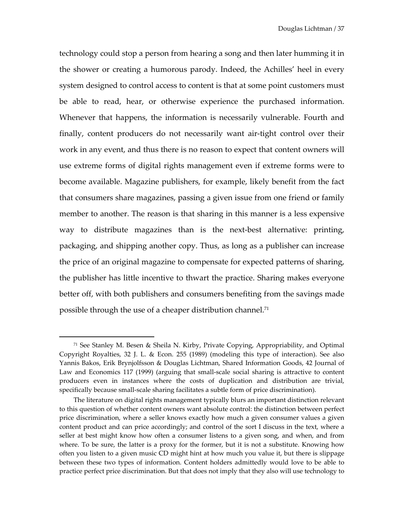<span id="page-37-0"></span>technology could stop a person from hearing a song and then later humming it in the shower or creating a humorous parody. Indeed, the Achilles' heel in every system designed to control access to content is that at some point customers must be able to read, hear, or otherwise experience the purchased information. Whenever that happens, the information is necessarily vulnerable. Fourth and finally, content producers do not necessarily want air-tight control over their work in any event, and thus there is no reason to expect that content owners will use extreme forms of digital rights management even if extreme forms were to become available. Magazine publishers, for example, likely benefit from the fact that consumers share magazines, passing a given issue from one friend or family member to another. The reason is that sharing in this manner is a less expensive way to distribute magazines than is the next-best alternative: printing, packaging, and shipping another copy. Thus, as long as a publisher can increase the price of an original magazine to compensate for expected patterns of sharing, the publisher has little incentive to thwart the practice. Sharing makes everyone better off, with both publishers and consumers benefiting from the savings made possible through the use of a cheaper distribution channel.<sup>[71](#page-37-0)</sup>

<sup>71</sup> See Stanley M. Besen & Sheila N. Kirby, Private Copying, Appropriability, and Optimal Copyright Royalties, 32 J. L. & Econ. 255 (1989) (modeling this type of interaction). See also Yannis Bakos, Erik Brynjolfsson & Douglas Lichtman, Shared Information Goods, 42 Journal of Law and Economics 117 (1999) (arguing that small-scale social sharing is attractive to content producers even in instances where the costs of duplication and distribution are trivial, specifically because small-scale sharing facilitates a subtle form of price discrimination).

The literature on digital rights management typically blurs an important distinction relevant to this question of whether content owners want absolute control: the distinction between perfect price discrimination, where a seller knows exactly how much a given consumer values a given content product and can price accordingly; and control of the sort I discuss in the text, where a seller at best might know how often a consumer listens to a given song, and when, and from where. To be sure, the latter is a proxy for the former, but it is not a substitute. Knowing how often you listen to a given music CD might hint at how much you value it, but there is slippage between these two types of information. Content holders admittedly would love to be able to practice perfect price discrimination. But that does not imply that they also will use technology to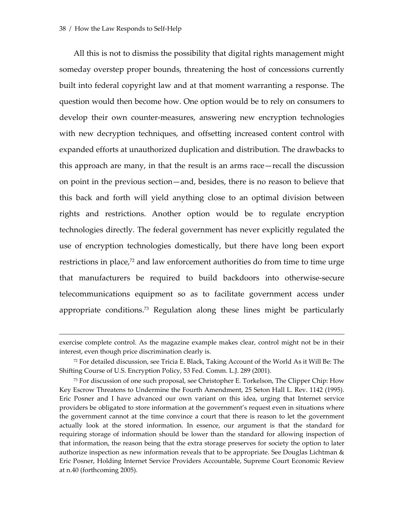<u>.</u>

All this is not to dismiss the possibility that digital rights management might someday overstep proper bounds, threatening the host of concessions currently built into federal copyright law and at that moment warranting a response. The question would then become how. One option would be to rely on consumers to develop their own counter-measures, answering new encryption technologies with new decryption techniques, and offsetting increased content control with expanded efforts at unauthorized duplication and distribution. The drawbacks to this approach are many, in that the result is an arms race—recall the discussion on point in the previous section—and, besides, there is no reason to believe that this back and forth will yield anything close to an optimal division between rights and restrictions. Another option would be to regulate encryption technologies directly. The federal government has never explicitly regulated the use of encryption technologies domestically, but there have long been export restrictions in place,<sup>72</sup> and law enforcement authorities do from time to time urge that manufacturers be required to build backdoors into otherwise-secure telecommunications equipment so as to facilitate government access under appropriate conditions.[73](#page-38-1) Regulation along these lines might be particularly

exercise complete control. As the magazine example makes clear, control might not be in their interest, even though price discrimination clearly is.

<span id="page-38-0"></span><sup>72</sup> For detailed discussion, see Tricia E. Black, Taking Account of the World As it Will Be: The Shifting Course of U.S. Encryption Policy, 53 Fed. Comm. L.J. 289 (2001).

<span id="page-38-1"></span><sup>73</sup> For discussion of one such proposal, see Christopher E. Torkelson, The Clipper Chip: How Key Escrow Threatens to Undermine the Fourth Amendment, 25 Seton Hall L. Rev. 1142 (1995). Eric Posner and I have advanced our own variant on this idea, urging that Internet service providers be obligated to store information at the government's request even in situations where the government cannot at the time convince a court that there is reason to let the government actually look at the stored information. In essence, our argument is that the standard for requiring storage of information should be lower than the standard for allowing inspection of that information, the reason being that the extra storage preserves for society the option to later authorize inspection as new information reveals that to be appropriate. See Douglas Lichtman & Eric Posner, Holding Internet Service Providers Accountable, Supreme Court Economic Review at n.40 (forthcoming 2005).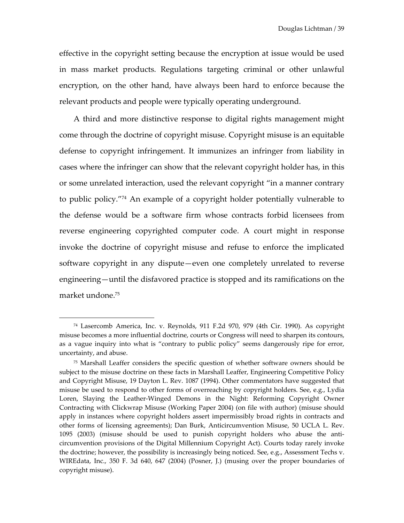effective in the copyright setting because the encryption at issue would be used in mass market products. Regulations targeting criminal or other unlawful encryption, on the other hand, have always been hard to enforce because the relevant products and people were typically operating underground.

A third and more distinctive response to digital rights management might come through the doctrine of copyright misuse. Copyright misuse is an equitable defense to copyright infringement. It immunizes an infringer from liability in cases where the infringer can show that the relevant copyright holder has, in this or some unrelated interaction, used the relevant copyright "in a manner contrary to public policy."[74](#page-39-0) An example of a copyright holder potentially vulnerable to the defense would be a software firm whose contracts forbid licensees from reverse engineering copyrighted computer code. A court might in response invoke the doctrine of copyright misuse and refuse to enforce the implicated software copyright in any dispute—even one completely unrelated to reverse engineering—until the disfavored practice is stopped and its ramifications on the market undone.[75](#page-39-1) 

<span id="page-39-0"></span><sup>74</sup> Lasercomb America, Inc. v. Reynolds, 911 F.2d 970, 979 (4th Cir. 1990). As copyright misuse becomes a more influential doctrine, courts or Congress will need to sharpen its contours, as a vague inquiry into what is "contrary to public policy" seems dangerously ripe for error, uncertainty, and abuse.

<span id="page-39-1"></span><sup>75</sup> Marshall Leaffer considers the specific question of whether software owners should be subject to the misuse doctrine on these facts in Marshall Leaffer, Engineering Competitive Policy and Copyright Misuse, 19 Dayton L. Rev. 1087 (1994). Other commentators have suggested that misuse be used to respond to other forms of overreaching by copyright holders. See, e.g., Lydia Loren, Slaying the Leather-Winged Demons in the Night: Reforming Copyright Owner Contracting with Clickwrap Misuse (Working Paper 2004) (on file with author) (misuse should apply in instances where copyright holders assert impermissibly broad rights in contracts and other forms of licensing agreements); Dan Burk, Anticircumvention Misuse, 50 UCLA L. Rev. 1095 (2003) (misuse should be used to punish copyright holders who abuse the anticircumvention provisions of the Digital Millennium Copyright Act). Courts today rarely invoke the doctrine; however, the possibility is increasingly being noticed. See, e.g., Assessment Techs v. WIREdata, Inc., 350 F. 3d 640, 647 (2004) (Posner, J.) (musing over the proper boundaries of copyright misuse).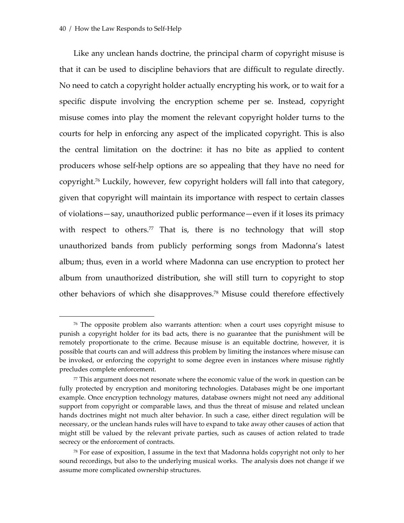1

Like any unclean hands doctrine, the principal charm of copyright misuse is that it can be used to discipline behaviors that are difficult to regulate directly. No need to catch a copyright holder actually encrypting his work, or to wait for a specific dispute involving the encryption scheme per se. Instead, copyright misuse comes into play the moment the relevant copyright holder turns to the courts for help in enforcing any aspect of the implicated copyright. This is also the central limitation on the doctrine: it has no bite as applied to content producers whose self-help options are so appealing that they have no need for copyright.[76](#page-40-0) Luckily, however, few copyright holders will fall into that category, given that copyright will maintain its importance with respect to certain classes of violations—say, unauthorized public performance—even if it loses its primacy with respect to others.<sup>77</sup> That is, there is no technology that will stop unauthorized bands from publicly performing songs from Madonna's latest album; thus, even in a world where Madonna can use encryption to protect her album from unauthorized distribution, she will still turn to copyright to stop other behaviors of which she disapproves[.78](#page-40-2) Misuse could therefore effectively

<span id="page-40-0"></span><sup>76</sup> The opposite problem also warrants attention: when a court uses copyright misuse to punish a copyright holder for its bad acts, there is no guarantee that the punishment will be remotely proportionate to the crime. Because misuse is an equitable doctrine, however, it is possible that courts can and will address this problem by limiting the instances where misuse can be invoked, or enforcing the copyright to some degree even in instances where misuse rightly precludes complete enforcement.

<span id="page-40-1"></span><sup>77</sup> This argument does not resonate where the economic value of the work in question can be fully protected by encryption and monitoring technologies. Databases might be one important example. Once encryption technology matures, database owners might not need any additional support from copyright or comparable laws, and thus the threat of misuse and related unclean hands doctrines might not much alter behavior. In such a case, either direct regulation will be necessary, or the unclean hands rules will have to expand to take away other causes of action that might still be valued by the relevant private parties, such as causes of action related to trade secrecy or the enforcement of contracts.

<span id="page-40-2"></span><sup>78</sup> For ease of exposition, I assume in the text that Madonna holds copyright not only to her sound recordings, but also to the underlying musical works. The analysis does not change if we assume more complicated ownership structures.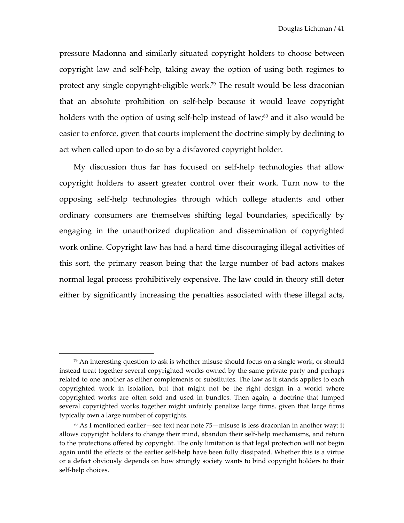pressure Madonna and similarly situated copyright holders to choose between copyright law and self-help, taking away the option of using both regimes to protect any single copyright-eligible work[.79](#page-41-0) The result would be less draconian that an absolute prohibition on self-help because it would leave copyright holders with the option of using self-help instead of law; $\frac{80}{10}$  and it also would be easier to enforce, given that courts implement the doctrine simply by declining to act when called upon to do so by a disfavored copyright holder.

My discussion thus far has focused on self-help technologies that allow copyright holders to assert greater control over their work. Turn now to the opposing self-help technologies through which college students and other ordinary consumers are themselves shifting legal boundaries, specifically by engaging in the unauthorized duplication and dissemination of copyrighted work online. Copyright law has had a hard time discouraging illegal activities of this sort, the primary reason being that the large number of bad actors makes normal legal process prohibitively expensive. The law could in theory still deter either by significantly increasing the penalties associated with these illegal acts,

<span id="page-41-0"></span> $79$  An interesting question to ask is whether misuse should focus on a single work, or should instead treat together several copyrighted works owned by the same private party and perhaps related to one another as either complements or substitutes. The law as it stands applies to each copyrighted work in isolation, but that might not be the right design in a world where copyrighted works are often sold and used in bundles. Then again, a doctrine that lumped several copyrighted works together might unfairly penalize large firms, given that large firms typically own a large number of copyrights.

<span id="page-41-1"></span><sup>80</sup> As I mentioned earlier—see text near note 75—misuse is less draconian in another way: it allows copyright holders to change their mind, abandon their self-help mechanisms, and return to the protections offered by copyright. The only limitation is that legal protection will not begin again until the effects of the earlier self-help have been fully dissipated. Whether this is a virtue or a defect obviously depends on how strongly society wants to bind copyright holders to their self-help choices.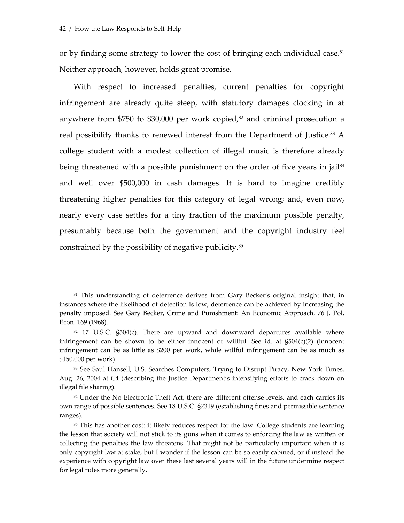1

or by finding some strategy to lower the cost of bringing each individual case.<sup>[81](#page-42-0)</sup> Neither approach, however, holds great promise.

With respect to increased penalties, current penalties for copyright infringement are already quite steep, with statutory damages clocking in at anywhere from \$750 to \$30,000 per work copied, $82$  and criminal prosecution a real possibility thanks to renewed interest from the Department of Justice.<sup>83</sup> A college student with a modest collection of illegal music is therefore already being threatened with a possible punishment on the order of five years in jail<sup>[84](#page-42-3)</sup> and well over \$500,000 in cash damages. It is hard to imagine credibly threatening higher penalties for this category of legal wrong; and, even now, nearly every case settles for a tiny fraction of the maximum possible penalty, presumably because both the government and the copyright industry feel constrained by the possibility of negative publicity.[85](#page-42-4)

<span id="page-42-0"></span><sup>&</sup>lt;sup>81</sup> This understanding of deterrence derives from Gary Becker's original insight that, in instances where the likelihood of detection is low, deterrence can be achieved by increasing the penalty imposed. See Gary Becker, Crime and Punishment: An Economic Approach, 76 J. Pol. Econ. 169 (1968).

<span id="page-42-1"></span> $82$  17 U.S.C. §504(c). There are upward and downward departures available where infringement can be shown to be either innocent or willful. See id. at  $\S504(c)(2)$  (innocent infringement can be as little as \$200 per work, while willful infringement can be as much as \$150,000 per work).

<span id="page-42-2"></span><sup>83</sup> See Saul Hansell, U.S. Searches Computers, Trying to Disrupt Piracy, New York Times, Aug. 26, 2004 at C4 (describing the Justice Department's intensifying efforts to crack down on illegal file sharing).

<span id="page-42-3"></span><sup>84</sup> Under the No Electronic Theft Act, there are different offense levels, and each carries its own range of possible sentences. See 18 U.S.C. §2319 (establishing fines and permissible sentence ranges).

<span id="page-42-4"></span><sup>&</sup>lt;sup>85</sup> This has another cost: it likely reduces respect for the law. College students are learning the lesson that society will not stick to its guns when it comes to enforcing the law as written or collecting the penalties the law threatens. That might not be particularly important when it is only copyright law at stake, but I wonder if the lesson can be so easily cabined, or if instead the experience with copyright law over these last several years will in the future undermine respect for legal rules more generally.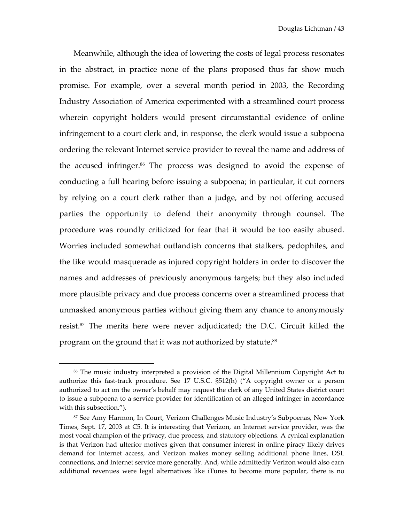<span id="page-43-1"></span>Meanwhile, although the idea of lowering the costs of legal process resonates in the abstract, in practice none of the plans proposed thus far show much promise. For example, over a several month period in 2003, the Recording Industry Association of America experimented with a streamlined court process wherein copyright holders would present circumstantial evidence of online infringement to a court clerk and, in response, the clerk would issue a subpoena ordering the relevant Internet service provider to reveal the name and address of the accused infringer[.86](#page-43-0) The process was designed to avoid the expense of conducting a full hearing before issuing a subpoena; in particular, it cut corners by relying on a court clerk rather than a judge, and by not offering accused parties the opportunity to defend their anonymity through counsel. The procedure was roundly criticized for fear that it would be too easily abused. Worries included somewhat outlandish concerns that stalkers, pedophiles, and the like would masquerade as injured copyright holders in order to discover the names and addresses of previously anonymous targets; but they also included more plausible privacy and due process concerns over a streamlined process that unmasked anonymous parties without giving them any chance to anonymously resist[.87](#page-43-1) The merits here were never adjudicated; the D.C. Circuit killed the program on the ground that it was not authorized by statute.<sup>[88](#page-43-2)</sup>

<span id="page-43-2"></span><span id="page-43-0"></span><sup>86</sup> The music industry interpreted a provision of the Digital Millennium Copyright Act to authorize this fast-track procedure. See 17 U.S.C. §512(h) ("A copyright owner or a person authorized to act on the owner's behalf may request the clerk of any United States district court to issue a subpoena to a service provider for identification of an alleged infringer in accordance with this subsection.").

<sup>87</sup> See Amy Harmon, In Court, Verizon Challenges Music Industry's Subpoenas, New York Times, Sept. 17, 2003 at C5. It is interesting that Verizon, an Internet service provider, was the most vocal champion of the privacy, due process, and statutory objections. A cynical explanation is that Verizon had ulterior motives given that consumer interest in online piracy likely drives demand for Internet access, and Verizon makes money selling additional phone lines, DSL connections, and Internet service more generally. And, while admittedly Verizon would also earn additional revenues were legal alternatives like iTunes to become more popular, there is no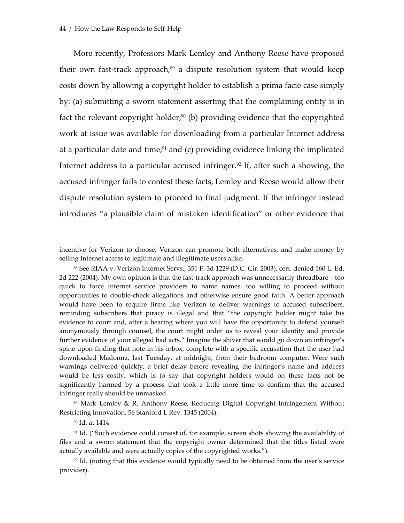More recently, Professors Mark Lemley and Anthony Reese have proposed their own fast-track approach,<sup>89</sup> a dispute resolution system that would keep costs down by allowing a copyright holder to establish a prima facie case simply by: (a) submitting a sworn statement asserting that the complaining entity is in fact the relevant copyright holder;<sup>90</sup> (b) providing evidence that the copyrighted work at issue was available for downloading from a particular Internet address at a particular date and time; $91$  and (c) providing evidence linking the implicated Internet address to a particular accused infringer.<sup>92</sup> If, after such a showing, the accused infringer fails to contest these facts, Lemley and Reese would allow their dispute resolution system to proceed to final judgment. If the infringer instead introduces "a plausible claim of mistaken identification" or other evidence that

<span id="page-44-0"></span><sup>89</sup> Mark Lemley & R. Anthony Reese, Reducing Digital Copyright Infringement Without Restricting Innovation, 56 Stanford L Rev. 1345 (2004).

<span id="page-44-2"></span><span id="page-44-1"></span>90 Id. at 1414.

 $\overline{a}$ 

<sup>91</sup> Id. ("Such evidence could consist of, for example, screen shots showing the availability of files and a sworn statement that the copyright owner determined that the titles listed were actually available and were actually copies of the copyrighted works.").

<span id="page-44-3"></span><sup>92</sup> Id. (noting that this evidence would typically need to be obtained from the user's service provider).

incentive for Verizon to choose. Verizon can promote both alternatives, and make money by selling Internet access to legitimate and illegitimate users alike.

<sup>88</sup> See RIAA v. Verizon Internet Servs., 351 F. 3d 1229 (D.C. Cir. 2003), cert. denied 160 L. Ed. 2d 222 (2004). My own opinion is that the fast-track approach was unnecessarily threadbare—too quick to force Internet service providers to name names, too willing to proceed without opportunities to double-check allegations and otherwise ensure good faith. A better approach would have been to require firms like Verizon to deliver warnings to accused subscribers, reminding subscribers that piracy is illegal and that "the copyright holder might take his evidence to court and, after a hearing where you will have the opportunity to defend yourself anonymously through counsel, the court might order us to reveal your identity and provide further evidence of your alleged bad acts." Imagine the shiver that would go down an infringer's spine upon finding that note in his inbox, complete with a specific accusation that the user had downloaded Madonna, last Tuesday, at midnight, from their bedroom computer. Were such warnings delivered quickly, a brief delay before revealing the infringer's name and address would be less costly, which is to say that copyright holders would on these facts not be significantly harmed by a process that took a little more time to confirm that the accused infringer really should be unmasked.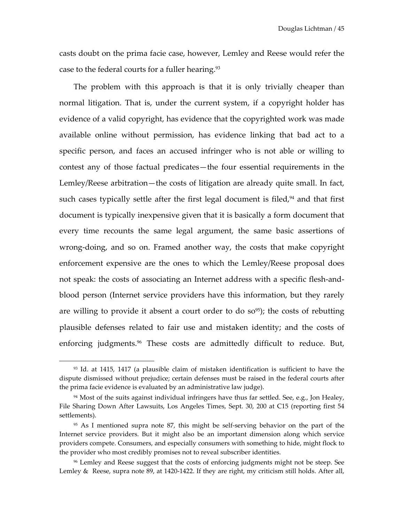<span id="page-45-3"></span>casts doubt on the prima facie case, however, Lemley and Reese would refer the case to the federal courts for a fuller hearing.<sup>93</sup>

The problem with this approach is that it is only trivially cheaper than normal litigation. That is, under the current system, if a copyright holder has evidence of a valid copyright, has evidence that the copyrighted work was made available online without permission, has evidence linking that bad act to a specific person, and faces an accused infringer who is not able or willing to contest any of those factual predicates—the four essential requirements in the Lemley/Reese arbitration—the costs of litigation are already quite small. In fact, such cases typically settle after the first legal document is filed,<sup>94</sup> and that first document is typically inexpensive given that it is basically a form document that every time recounts the same legal argument, the same basic assertions of wrong-doing, and so on. Framed another way, the costs that make copyright enforcement expensive are the ones to which the Lemley/Reese proposal does not speak: the costs of associating an Internet address with a specific flesh-andblood person (Internet service providers have this information, but they rarely are willing to provide it absent a court order to do  $so<sup>95</sup>$ ); the costs of rebutting plausible defenses related to fair use and mistaken identity; and the costs of enforcing judgments.<sup>96</sup> These costs are admittedly difficult to reduce. But,

<u>.</u>

<span id="page-45-0"></span><sup>93</sup> Id. at 1415, 1417 (a plausible claim of mistaken identification is sufficient to have the dispute dismissed without prejudice; certain defenses must be raised in the federal courts after the prima facie evidence is evaluated by an administrative law judge).

<span id="page-45-1"></span> $94$  Most of the suits against individual infringers have thus far settled. See, e.g., Jon Healey, File Sharing Down After Lawsuits, Los Angeles Times, Sept. 30, 200 at C15 (reporting first 54 settlements).

<span id="page-45-2"></span><sup>95</sup> As I mentioned supra note 87, this might be self-serving behavior on the part of the Internet service providers. But it might also be an important dimension along which service providers compete. Consumers, and especially consumers with something to hide, might flock to the provider who most credibly promises not to reveal subscriber identities.

<sup>96</sup> Lemley and Reese suggest that the costs of enforcing judgments might not be steep. See Lemley & Reese, supra note 89, at 1420-1422. If they are right, my criticism still holds. After all,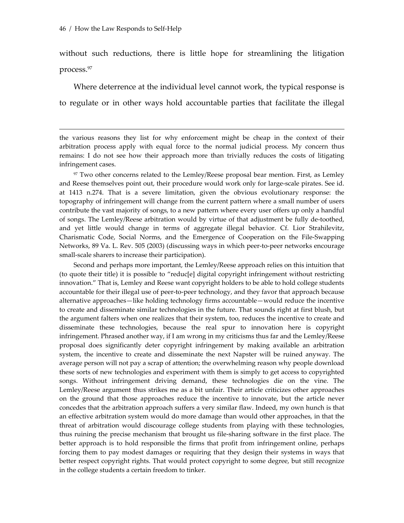$\overline{a}$ 

without such reductions, there is little hope for streamlining the litigation process.[97](#page-46-0)

Where deterrence at the individual level cannot work, the typical response is to regulate or in other ways hold accountable parties that facilitate the illegal

the various reasons they list for why enforcement might be cheap in the context of their arbitration process apply with equal force to the normal judicial process. My concern thus remains: I do not see how their approach more than trivially reduces the costs of litigating infringement cases.

<span id="page-46-0"></span>97 Two other concerns related to the Lemley/Reese proposal bear mention. First, as Lemley and Reese themselves point out, their procedure would work only for large-scale pirates. See id. at 1413 n.274. That is a severe limitation, given the obvious evolutionary response: the topography of infringement will change from the current pattern where a small number of users contribute the vast majority of songs, to a new pattern where every user offers up only a handful of songs. The Lemley/Reese arbitration would by virtue of that adjustment be fully de-toothed, and yet little would change in terms of aggregate illegal behavior. Cf. Lior Strahilevitz, Charismatic Code, Social Norms, and the Emergence of Cooperation on the File-Swapping Networks, 89 Va. L. Rev. 505 (2003) (discussing ways in which peer-to-peer networks encourage small-scale sharers to increase their participation).

Second and perhaps more important, the Lemley/Reese approach relies on this intuition that (to quote their title) it is possible to "reduc[e] digital copyright infringement without restricting innovation." That is, Lemley and Reese want copyright holders to be able to hold college students accountable for their illegal use of peer-to-peer technology, and they favor that approach because alternative approaches—like holding technology firms accountable—would reduce the incentive to create and disseminate similar technologies in the future. That sounds right at first blush, but the argument falters when one realizes that their system, too, reduces the incentive to create and disseminate these technologies, because the real spur to innovation here is copyright infringement. Phrased another way, if I am wrong in my criticisms thus far and the Lemley/Reese proposal does significantly deter copyright infringement by making available an arbitration system, the incentive to create and disseminate the next Napster will be ruined anyway. The average person will not pay a scrap of attention; the overwhelming reason why people download these sorts of new technologies and experiment with them is simply to get access to copyrighted songs. Without infringement driving demand, these technologies die on the vine. The Lemley/Reese argument thus strikes me as a bit unfair. Their article criticizes other approaches on the ground that those approaches reduce the incentive to innovate, but the article never concedes that the arbitration approach suffers a very similar flaw. Indeed, my own hunch is that an effective arbitration system would do more damage than would other approaches, in that the threat of arbitration would discourage college students from playing with these technologies, thus ruining the precise mechanism that brought us file-sharing software in the first place. The better approach is to hold responsible the firms that profit from infringement online, perhaps forcing them to pay modest damages or requiring that they design their systems in ways that better respect copyright rights. That would protect copyright to some degree, but still recognize in the college students a certain freedom to tinker.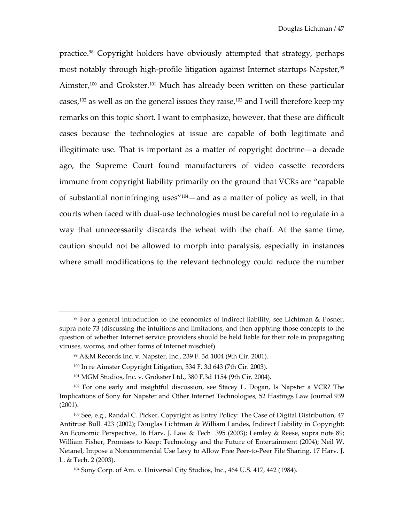practice.[98](#page-47-0) Copyright holders have obviously attempted that strategy, perhaps most notably through high-profile litigation against Internet startups Napster,<sup>[99](#page-47-1)</sup> Aimster,<sup>100</sup> and Grokster.<sup>101</sup> Much has already been written on these particular cases,<sup>102</sup> as well as on the general issues they raise,<sup>103</sup> and I will therefore keep my remarks on this topic short. I want to emphasize, however, that these are difficult cases because the technologies at issue are capable of both legitimate and illegitimate use. That is important as a matter of copyright doctrine—a decade ago, the Supreme Court found manufacturers of video cassette recorders immune from copyright liability primarily on the ground that VCRs are "capable of substantial noninfringing uses["104—](#page-47-6)and as a matter of policy as well, in that courts when faced with dual-use technologies must be careful not to regulate in a way that unnecessarily discards the wheat with the chaff. At the same time, caution should not be allowed to morph into paralysis, especially in instances where small modifications to the relevant technology could reduce the number

<span id="page-47-0"></span><sup>98</sup> For a general introduction to the economics of indirect liability, see Lichtman & Posner, supra note 73 (discussing the intuitions and limitations, and then applying those concepts to the question of whether Internet service providers should be held liable for their role in propagating viruses, worms, and other forms of Internet mischief).

<span id="page-47-1"></span><sup>99</sup> A&M Records Inc. v. Napster, Inc., 239 F. 3d 1004 (9th Cir. 2001).

<span id="page-47-2"></span><sup>100</sup> In re Aimster Copyright Litigation, 334 F. 3d 643 (7th Cir. 2003).

<span id="page-47-4"></span><span id="page-47-3"></span><sup>101</sup> MGM Studios, Inc. v. Grokster Ltd., 380 F.3d 1154 (9th Cir. 2004).

<sup>102</sup> For one early and insightful discussion, see Stacey L. Dogan, Is Napster a VCR? The Implications of Sony for Napster and Other Internet Technologies, 52 Hastings Law Journal 939 (2001).

<span id="page-47-5"></span><sup>103</sup> See, e.g., Randal C. Picker, Copyright as Entry Policy: The Case of Digital Distribution, 47 Antitrust Bull. 423 (2002); Douglas Lichtman & William Landes, Indirect Liability in Copyright: An Economic Perspective, 16 Harv. J. Law & Tech 395 (2003); Lemley & Reese, supra note 89; William Fisher, Promises to Keep: Technology and the Future of Entertainment (2004); Neil W. Netanel, Impose a Noncommercial Use Levy to Allow Free Peer-to-Peer File Sharing, 17 Harv. J. L. & Tech. 2 (2003).

<span id="page-47-6"></span><sup>104</sup> Sony Corp. of Am. v. Universal City Studios, Inc., 464 U.S. 417, 442 (1984).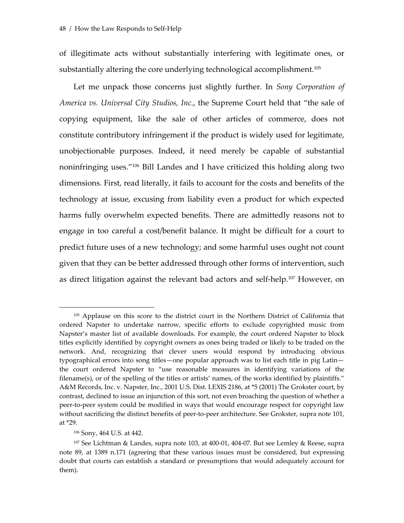of illegitimate acts without substantially interfering with legitimate ones, or substantially altering the core underlying technological accomplishment.<sup>[105](#page-48-0)</sup>

Let me unpack those concerns just slightly further. In *Sony Corporation of America vs. Universal City Studios, Inc.*, the Supreme Court held that "the sale of copying equipment, like the sale of other articles of commerce, does not constitute contributory infringement if the product is widely used for legitimate, unobjectionable purposes. Indeed, it need merely be capable of substantial noninfringing uses."[106](#page-48-1) Bill Landes and I have criticized this holding along two dimensions. First, read literally, it fails to account for the costs and benefits of the technology at issue, excusing from liability even a product for which expected harms fully overwhelm expected benefits. There are admittedly reasons not to engage in too careful a cost/benefit balance. It might be difficult for a court to predict future uses of a new technology; and some harmful uses ought not count given that they can be better addressed through other forms of intervention, such as direct litigation against the relevant bad actors and self-help.<sup>107</sup> However, on

<span id="page-48-0"></span><sup>105</sup> Applause on this score to the district court in the Northern District of California that ordered Napster to undertake narrow, specific efforts to exclude copyrighted music from Napster's master list of available downloads. For example, the court ordered Napster to block titles explicitly identified by copyright owners as ones being traded or likely to be traded on the network. And, recognizing that clever users would respond by introducing obvious typographical errors into song titles—one popular approach was to list each title in pig Latin the court ordered Napster to "use reasonable measures in identifying variations of the filename(s), or of the spelling of the titles or artists' names, of the works identified by plaintiffs." A&M Records, Inc. v. Napster, Inc., 2001 U.S. Dist. LEXIS 2186, at \*5 (2001) The Grokster court, by contrast, declined to issue an injunction of this sort, not even broaching the question of whether a peer-to-peer system could be modified in ways that would encourage respect for copyright law without sacrificing the distinct benefits of peer-to-peer architecture. See Grokster, supra note 101, at \*29.

<span id="page-48-2"></span><span id="page-48-1"></span><sup>106</sup> Sony, 464 U.S. at 442.

<sup>107</sup> See Lichtman & Landes, supra note 103, at 400-01, 404-07. But see Lemley & Reese, supra note 89, at 1389 n.171 (agreeing that these various issues must be considered, but expressing doubt that courts can establish a standard or presumptions that would adequately account for them).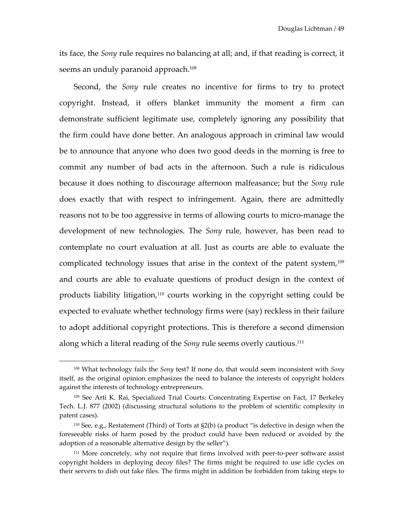<span id="page-49-3"></span>its face, the *Sony* rule requires no balancing at all; and, if that reading is correct, it seems an unduly paranoid approach.<sup>[108](#page-49-0)</sup>

Second, the *Sony* rule creates no incentive for firms to try to protect copyright. Instead, it offers blanket immunity the moment a firm can demonstrate sufficient legitimate use, completely ignoring any possibility that the firm could have done better. An analogous approach in criminal law would be to announce that anyone who does two good deeds in the morning is free to commit any number of bad acts in the afternoon. Such a rule is ridiculous because it does nothing to discourage afternoon malfeasance; but the *Sony* rule does exactly that with respect to infringement. Again, there are admittedly reasons not to be too aggressive in terms of allowing courts to micro-manage the development of new technologies. The *Sony* rule, however, has been read to contemplate no court evaluation at all. Just as courts are able to evaluate the complicated technology issues that arise in the context of the patent system, $109$ and courts are able to evaluate questions of product design in the context of products liability litigation,<sup>110</sup> courts working in the copyright setting could be expected to evaluate whether technology firms were (say) reckless in their failure to adopt additional copyright protections. This is therefore a second dimension along which a literal reading of the *Sony* rule seems overly cautious.<sup>111</sup>

<span id="page-49-0"></span><sup>108</sup> What technology fails the *Sony* test? If none do, that would seem inconsistent with *Sony* itself, as the original opinion emphasizes the need to balance the interests of copyright holders against the interests of technology entrepreneurs.

<span id="page-49-1"></span><sup>109</sup> See Arti K. Rai, Specialized Trial Courts: Concentrating Expertise on Fact, 17 Berkeley Tech. L.J. 877 (2002) (discussing structural solutions to the problem of scientific complexity in patent cases).

<span id="page-49-2"></span><sup>110</sup> See, e.g., Restatement (Third) of Torts at §2(b) (a product "is defective in design when the foreseeable risks of harm posed by the product could have been reduced or avoided by the adoption of a reasonable alternative design by the seller").

<sup>&</sup>lt;sup>111</sup> More concretely, why not require that firms involved with peer-to-peer software assist copyright holders in deploying decoy files? The firms might be required to use idle cycles on their servers to dish out fake files. The firms might in addition be forbidden from taking steps to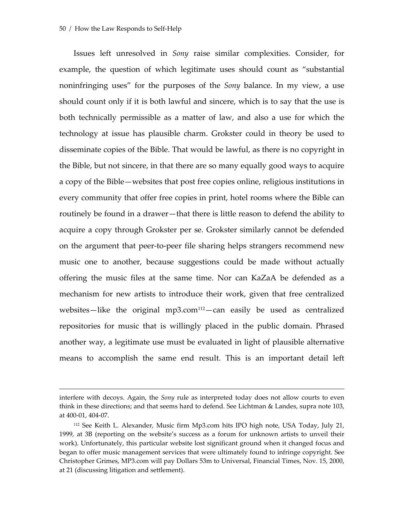$\overline{a}$ 

Issues left unresolved in *Sony* raise similar complexities. Consider, for example, the question of which legitimate uses should count as "substantial noninfringing uses" for the purposes of the *Sony* balance. In my view, a use should count only if it is both lawful and sincere, which is to say that the use is both technically permissible as a matter of law, and also a use for which the technology at issue has plausible charm. Grokster could in theory be used to disseminate copies of the Bible. That would be lawful, as there is no copyright in the Bible, but not sincere, in that there are so many equally good ways to acquire a copy of the Bible—websites that post free copies online, religious institutions in every community that offer free copies in print, hotel rooms where the Bible can routinely be found in a drawer—that there is little reason to defend the ability to acquire a copy through Grokster per se. Grokster similarly cannot be defended on the argument that peer-to-peer file sharing helps strangers recommend new music one to another, because suggestions could be made without actually offering the music files at the same time. Nor can KaZaA be defended as a mechanism for new artists to introduce their work, given that free centralized websites—like the original mp3.com $112$ —can easily be used as centralized repositories for music that is willingly placed in the public domain. Phrased another way, a legitimate use must be evaluated in light of plausible alternative means to accomplish the same end result. This is an important detail left

interfere with decoys. Again, the *Sony* rule as interpreted today does not allow courts to even think in these directions; and that seems hard to defend. See Lichtman & Landes, supra note 103, at 400-01, 404-07.

<span id="page-50-0"></span><sup>112</sup> See Keith L. Alexander, Music firm Mp3.com hits IPO high note, USA Today, July 21, 1999, at 3B (reporting on the website's success as a forum for unknown artists to unveil their work). Unfortunately, this particular website lost significant ground when it changed focus and began to offer music management services that were ultimately found to infringe copyright. See Christopher Grimes, MP3.com will pay Dollars 53m to Universal, Financial Times, Nov. 15, 2000, at 21 (discussing litigation and settlement).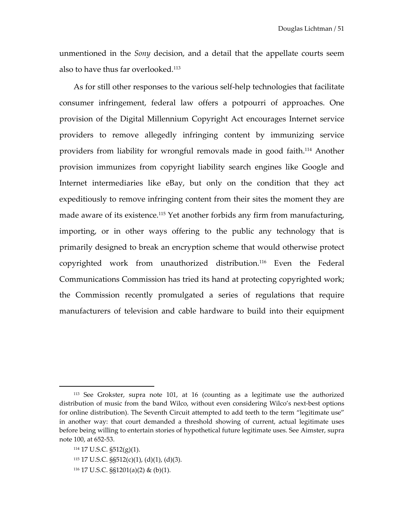unmentioned in the *Sony* decision, and a detail that the appellate courts seem also to have thus far overlooked.<sup>113</sup>

As for still other responses to the various self-help technologies that facilitate consumer infringement, federal law offers a potpourri of approaches. One provision of the Digital Millennium Copyright Act encourages Internet service providers to remove allegedly infringing content by immunizing service providers from liability for wrongful removals made in good faith.[114](#page-51-1) Another provision immunizes from copyright liability search engines like Google and Internet intermediaries like eBay, but only on the condition that they act expeditiously to remove infringing content from their sites the moment they are made aware of its existence.<sup>115</sup> Yet another forbids any firm from manufacturing, importing, or in other ways offering to the public any technology that is primarily designed to break an encryption scheme that would otherwise protect copyrighted work from unauthorized distribution.[116](#page-51-3) Even the Federal Communications Commission has tried its hand at protecting copyrighted work; the Commission recently promulgated a series of regulations that require manufacturers of television and cable hardware to build into their equipment

- <span id="page-51-2"></span>115 17 U.S.C. §§512(c)(1), (d)(1), (d)(3).
- <span id="page-51-3"></span>116 17 U.S.C. §§1201(a)(2) & (b)(1).

<span id="page-51-0"></span><sup>113</sup> See Grokster, supra note 101, at 16 (counting as a legitimate use the authorized distribution of music from the band Wilco, without even considering Wilco's next-best options for online distribution). The Seventh Circuit attempted to add teeth to the term "legitimate use" in another way: that court demanded a threshold showing of current, actual legitimate uses before being willing to entertain stories of hypothetical future legitimate uses. See Aimster, supra note 100, at 652-53.

<span id="page-51-1"></span><sup>114 17</sup> U.S.C. §512(g)(1).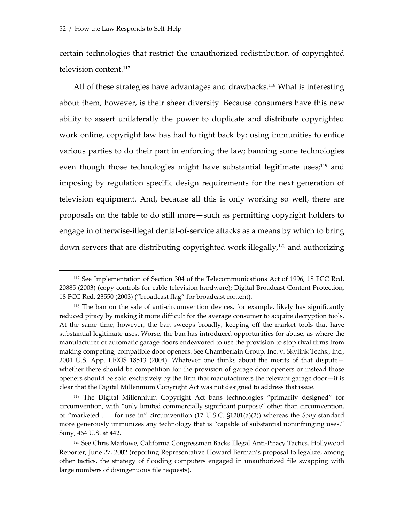<u>.</u>

certain technologies that restrict the unauthorized redistribution of copyrighted television content.<sup>[117](#page-52-0)</sup>

All of these strategies have advantages and drawbacks.<sup>118</sup> What is interesting about them, however, is their sheer diversity. Because consumers have this new ability to assert unilaterally the power to duplicate and distribute copyrighted work online, copyright law has had to fight back by: using immunities to entice various parties to do their part in enforcing the law; banning some technologies even though those technologies might have substantial legitimate uses;<sup>119</sup> and imposing by regulation specific design requirements for the next generation of television equipment. And, because all this is only working so well, there are proposals on the table to do still more—such as permitting copyright holders to engage in otherwise-illegal denial-of-service attacks as a means by which to bring down servers that are distributing copyrighted work illegally[,120](#page-52-3) and authorizing

<span id="page-52-0"></span><sup>117</sup> See Implementation of Section 304 of the Telecommunications Act of 1996, 18 FCC Rcd. 20885 (2003) (copy controls for cable television hardware); Digital Broadcast Content Protection, 18 FCC Rcd. 23550 (2003) ("broadcast flag" for broadcast content).

<span id="page-52-1"></span><sup>&</sup>lt;sup>118</sup> The ban on the sale of anti-circumvention devices, for example, likely has significantly reduced piracy by making it more difficult for the average consumer to acquire decryption tools. At the same time, however, the ban sweeps broadly, keeping off the market tools that have substantial legitimate uses. Worse, the ban has introduced opportunities for abuse, as where the manufacturer of automatic garage doors endeavored to use the provision to stop rival firms from making competing, compatible door openers. See Chamberlain Group, Inc. v. Skylink Techs., Inc., 2004 U.S. App. LEXIS 18513 (2004). Whatever one thinks about the merits of that dispute whether there should be competition for the provision of garage door openers or instead those openers should be sold exclusively by the firm that manufacturers the relevant garage door—it is clear that the Digital Millennium Copyright Act was not designed to address that issue.

<span id="page-52-2"></span><sup>119</sup> The Digital Millennium Copyright Act bans technologies "primarily designed" for circumvention, with "only limited commercially significant purpose" other than circumvention, or "marketed . . . for use in" circumvention (17 U.S.C. §1201(a)(2)) whereas the *Sony* standard more generously immunizes any technology that is "capable of substantial noninfringing uses." Sony, 464 U.S. at 442.

<span id="page-52-3"></span><sup>120</sup> See Chris Marlowe, California Congressman Backs Illegal Anti-Piracy Tactics, Hollywood Reporter, June 27, 2002 (reporting Representative Howard Berman's proposal to legalize, among other tactics, the strategy of flooding computers engaged in unauthorized file swapping with large numbers of disingenuous file requests).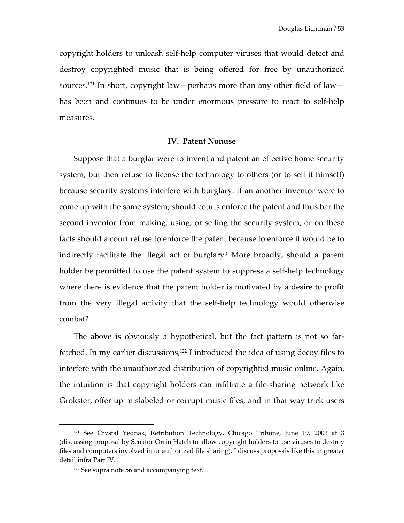copyright holders to unleash self-help computer viruses that would detect and destroy copyrighted music that is being offered for free by unauthorized sources.<sup>121</sup> In short, copyright law—perhaps more than any other field of law has been and continues to be under enormous pressure to react to self-help measures.

## **IV. Patent Nonuse**

Suppose that a burglar were to invent and patent an effective home security system, but then refuse to license the technology to others (or to sell it himself) because security systems interfere with burglary. If an another inventor were to come up with the same system, should courts enforce the patent and thus bar the second inventor from making, using, or selling the security system; or on these facts should a court refuse to enforce the patent because to enforce it would be to indirectly facilitate the illegal act of burglary? More broadly, should a patent holder be permitted to use the patent system to suppress a self-help technology where there is evidence that the patent holder is motivated by a desire to profit from the very illegal activity that the self-help technology would otherwise combat?

The above is obviously a hypothetical, but the fact pattern is not so farfetched. In my earlier discussions, $122$  I introduced the idea of using decoy files to interfere with the unauthorized distribution of copyrighted music online. Again, the intuition is that copyright holders can infiltrate a file-sharing network like Grokster, offer up mislabeled or corrupt music files, and in that way trick users

<span id="page-53-0"></span><sup>121</sup> See Crystal Yednak, Retribution Technology, Chicago Tribune, June 19, 2003 at 3 (discussing proposal by Senator Orrin Hatch to allow copyright holders to use viruses to destroy files and computers involved in unauthorized file sharing). I discuss proposals like this in greater detail infra Part IV.

<span id="page-53-1"></span><sup>&</sup>lt;sup>122</sup> See supra note 56 and accompanying text.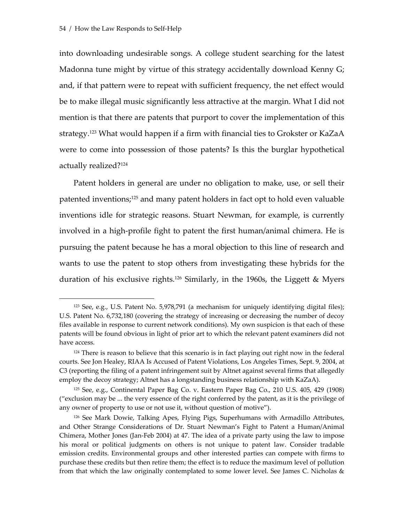1

<span id="page-54-3"></span>into downloading undesirable songs. A college student searching for the latest Madonna tune might by virtue of this strategy accidentally download Kenny G; and, if that pattern were to repeat with sufficient frequency, the net effect would be to make illegal music significantly less attractive at the margin. What I did not mention is that there are patents that purport to cover the implementation of this strategy.<sup>123</sup> What would happen if a firm with financial ties to Grokster or KaZaA were to come into possession of those patents? Is this the burglar hypothetical actually realized?[124](#page-54-1)

Patent holders in general are under no obligation to make, use, or sell their patented inventions;<sup>125</sup> and many patent holders in fact opt to hold even valuable inventions idle for strategic reasons. Stuart Newman, for example, is currently involved in a high-profile fight to patent the first human/animal chimera. He is pursuing the patent because he has a moral objection to this line of research and wants to use the patent to stop others from investigating these hybrids for the duration of his exclusive rights.[126](#page-54-3) Similarly, in the 1960s, the Liggett & Myers

<span id="page-54-0"></span> $123$  See, e.g., U.S. Patent No. 5,978,791 (a mechanism for uniquely identifying digital files); U.S. Patent No. 6,732,180 (covering the strategy of increasing or decreasing the number of decoy files available in response to current network conditions). My own suspicion is that each of these patents will be found obvious in light of prior art to which the relevant patent examiners did not have access.

<span id="page-54-1"></span><sup>&</sup>lt;sup>124</sup> There is reason to believe that this scenario is in fact playing out right now in the federal courts. See Jon Healey, RIAA Is Accused of Patent Violations, Los Angeles Times, Sept. 9, 2004, at C3 (reporting the filing of a patent infringement suit by Altnet against several firms that allegedly employ the decoy strategy; Altnet has a longstanding business relationship with KaZaA).

<span id="page-54-2"></span><sup>125</sup> See, e.g., Continental Paper Bag Co. v. Eastern Paper Bag Co., 210 U.S. 405, 429 (1908) ("exclusion may be ... the very essence of the right conferred by the patent, as it is the privilege of any owner of property to use or not use it, without question of motive").

<sup>126</sup> See Mark Dowie, Talking Apes, Flying Pigs, Superhumans with Armadillo Attributes, and Other Strange Considerations of Dr. Stuart Newman's Fight to Patent a Human/Animal Chimera, Mother Jones (Jan-Feb 2004) at 47. The idea of a private party using the law to impose his moral or political judgments on others is not unique to patent law. Consider tradable emission credits. Environmental groups and other interested parties can compete with firms to purchase these credits but then retire them; the effect is to reduce the maximum level of pollution from that which the law originally contemplated to some lower level. See James C. Nicholas &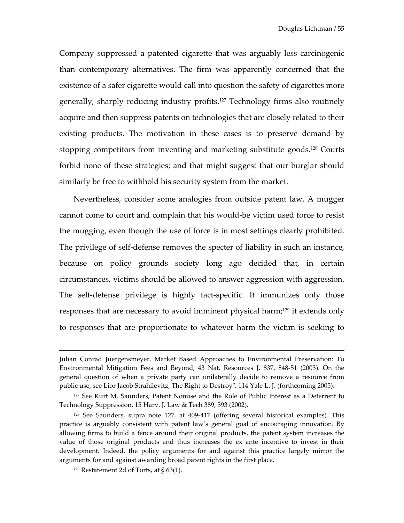Company suppressed a patented cigarette that was arguably less carcinogenic than contemporary alternatives. The firm was apparently concerned that the existence of a safer cigarette would call into question the safety of cigarettes more generally, sharply reducing industry profits.[127](#page-55-0) Technology firms also routinely acquire and then suppress patents on technologies that are closely related to their existing products. The motivation in these cases is to preserve demand by stopping competitors from inventing and marketing substitute goods.<sup>128</sup> Courts forbid none of these strategies; and that might suggest that our burglar should similarly be free to withhold his security system from the market.

Nevertheless, consider some analogies from outside patent law. A mugger cannot come to court and complain that his would-be victim used force to resist the mugging, even though the use of force is in most settings clearly prohibited. The privilege of self-defense removes the specter of liability in such an instance, because on policy grounds society long ago decided that, in certain circumstances, victims should be allowed to answer aggression with aggression. The self-defense privilege is highly fact-specific. It immunizes only those responses that are necessary to avoid imminent physical harm;<sup>129</sup> it extends only to responses that are proportionate to whatever harm the victim is seeking to

Julian Conrad Juergensmeyer, Market Based Approaches to Environmental Preservation: To Environmental Mitigation Fees and Beyond, 43 Nat. Resources J. 837, 848-51 (2003). On the general question of when a private party can unilaterally decide to remove a resource from public use, see Lior Jacob Strahilevitz, The Right to Destroy", 114 Yale L. J. (forthcoming 2005).

<span id="page-55-0"></span><sup>127</sup> See Kurt M. Saunders, Patent Nonuse and the Role of Public Interest as a Deterrent to Technology Suppression, 15 Harv. J. Law & Tech 389, 393 (2002).

<span id="page-55-1"></span><sup>128</sup> See Saunders, supra note 127, at 409-417 (offering several historical examples). This practice is arguably consistent with patent law's general goal of encouraging innovation. By allowing firms to build a fence around their original products, the patent system increases the value of those original products and thus increases the ex ante incentive to invest in their development. Indeed, the policy arguments for and against this practice largely mirror the arguments for and against awarding broad patent rights in the first place.

<span id="page-55-2"></span> $129$  Restatement 2d of Torts, at § 63(1).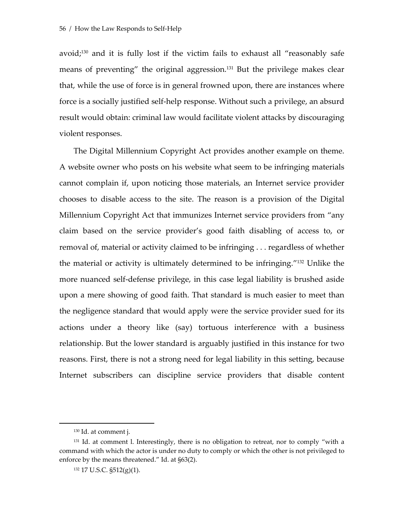avoid;<sup>130</sup> and it is fully lost if the victim fails to exhaust all "reasonably safe means of preventing" the original aggression.<sup>131</sup> But the privilege makes clear that, while the use of force is in general frowned upon, there are instances where force is a socially justified self-help response. Without such a privilege, an absurd result would obtain: criminal law would facilitate violent attacks by discouraging violent responses.

The Digital Millennium Copyright Act provides another example on theme. A website owner who posts on his website what seem to be infringing materials cannot complain if, upon noticing those materials, an Internet service provider chooses to disable access to the site. The reason is a provision of the Digital Millennium Copyright Act that immunizes Internet service providers from "any claim based on the service provider's good faith disabling of access to, or removal of, material or activity claimed to be infringing . . . regardless of whether the material or activity is ultimately determined to be infringing."[132](#page-56-2) Unlike the more nuanced self-defense privilege, in this case legal liability is brushed aside upon a mere showing of good faith. That standard is much easier to meet than the negligence standard that would apply were the service provider sued for its actions under a theory like (say) tortuous interference with a business relationship. But the lower standard is arguably justified in this instance for two reasons. First, there is not a strong need for legal liability in this setting, because Internet subscribers can discipline service providers that disable content

<span id="page-56-1"></span><span id="page-56-0"></span><sup>130</sup> Id. at comment j.

<sup>&</sup>lt;sup>131</sup> Id. at comment l. Interestingly, there is no obligation to retreat, nor to comply "with a command with which the actor is under no duty to comply or which the other is not privileged to enforce by the means threatened." Id. at §63(2).

<span id="page-56-2"></span><sup>132 17</sup> U.S.C. §512(g)(1).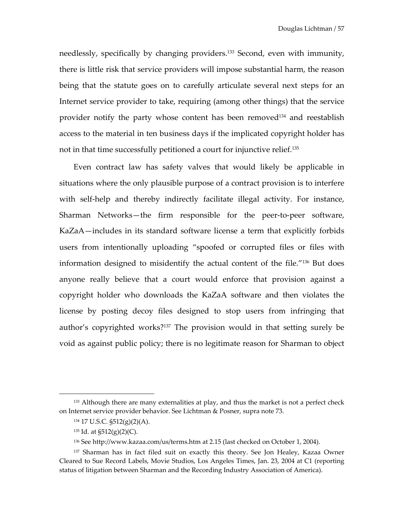needlessly, specifically by changing providers.<sup>133</sup> Second, even with immunity, there is little risk that service providers will impose substantial harm, the reason being that the statute goes on to carefully articulate several next steps for an Internet service provider to take, requiring (among other things) that the service provider notify the party whose content has been removed<sup>134</sup> and reestablish access to the material in ten business days if the implicated copyright holder has not in that time successfully petitioned a court for injunctive relief.<sup>[135](#page-57-2)</sup>

Even contract law has safety valves that would likely be applicable in situations where the only plausible purpose of a contract provision is to interfere with self-help and thereby indirectly facilitate illegal activity. For instance, Sharman Networks—the firm responsible for the peer-to-peer software, KaZaA—includes in its standard software license a term that explicitly forbids users from intentionally uploading "spoofed or corrupted files or files with information designed to misidentify the actual content of the file.["136](#page-57-3) But does anyone really believe that a court would enforce that provision against a copyright holder who downloads the KaZaA software and then violates the license by posting decoy files designed to stop users from infringing that author's copyrighted works[?137](#page-57-4) The provision would in that setting surely be void as against public policy; there is no legitimate reason for Sharman to object

<sup>&</sup>lt;sup>133</sup> Although there are many externalities at play, and thus the market is not a perfect check on Internet service provider behavior. See Lichtman & Posner, supra note 73.

<span id="page-57-1"></span><span id="page-57-0"></span><sup>134 17</sup> U.S.C. §512(g)(2)(A).

<span id="page-57-2"></span><sup>135</sup> Id. at §512(g)(2)(C).

<span id="page-57-4"></span><span id="page-57-3"></span><sup>136</sup> See http://www.kazaa.com/us/terms.htm at 2.15 (last checked on October 1, 2004).

<sup>137</sup> Sharman has in fact filed suit on exactly this theory. See Jon Healey, Kazaa Owner Cleared to Sue Record Labels, Movie Studios, Los Angeles Times, Jan. 23, 2004 at C1 (reporting status of litigation between Sharman and the Recording Industry Association of America).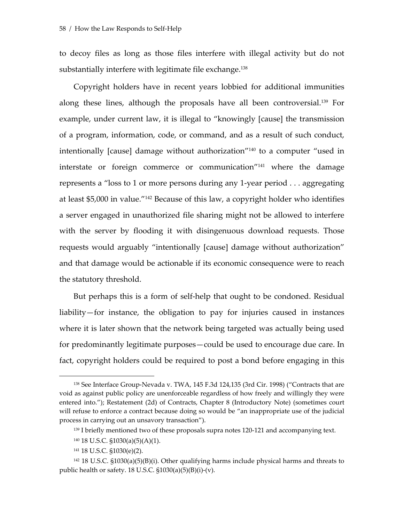to decoy files as long as those files interfere with illegal activity but do not substantially interfere with legitimate file exchange.<sup>[138](#page-58-0)</sup>

Copyright holders have in recent years lobbied for additional immunities along these lines, although the proposals have all been controversial.[139](#page-58-1) For example, under current law, it is illegal to "knowingly [cause] the transmission of a program, information, code, or command, and as a result of such conduct, intentionally [cause] damage without authorization["140](#page-58-2) to a computer "used in interstate or foreign commerce or communication"[141](#page-58-3) where the damage represents a "loss to 1 or more persons during any 1-year period . . . aggregating at least \$5,000 in value."[142](#page-58-4) Because of this law, a copyright holder who identifies a server engaged in unauthorized file sharing might not be allowed to interfere with the server by flooding it with disingenuous download requests. Those requests would arguably "intentionally [cause] damage without authorization" and that damage would be actionable if its economic consequence were to reach the statutory threshold.

But perhaps this is a form of self-help that ought to be condoned. Residual liability—for instance, the obligation to pay for injuries caused in instances where it is later shown that the network being targeted was actually being used for predominantly legitimate purposes—could be used to encourage due care. In fact, copyright holders could be required to post a bond before engaging in this

<span id="page-58-0"></span><sup>138</sup> See Interface Group-Nevada v. TWA, 145 F.3d 124,135 (3rd Cir. 1998) ("Contracts that are void as against public policy are unenforceable regardless of how freely and willingly they were entered into."); Restatement (2d) of Contracts, Chapter 8 (Introductory Note) (sometimes court will refuse to enforce a contract because doing so would be "an inappropriate use of the judicial process in carrying out an unsavory transaction").

<span id="page-58-1"></span><sup>&</sup>lt;sup>139</sup> I briefly mentioned two of these proposals supra notes 120-121 and accompanying text.

<span id="page-58-2"></span><sup>140 18</sup> U.S.C. §1030(a)(5)(A)(1).

<span id="page-58-4"></span><span id="page-58-3"></span><sup>141 18</sup> U.S.C. §1030(e)(2).

<sup>142</sup> 18 U.S.C. §1030(a)(5)(B)(i). Other qualifying harms include physical harms and threats to public health or safety. 18 U.S.C.  $$1030(a)(5)(B)(i)-(v)$ .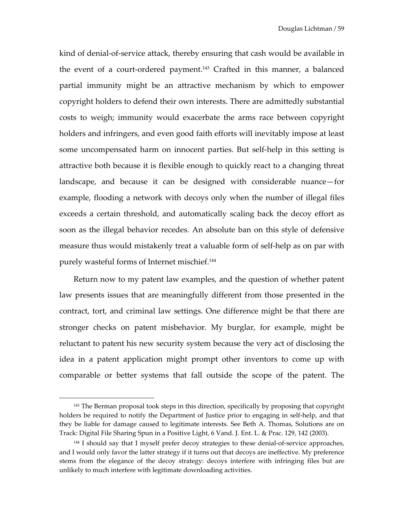kind of denial-of-service attack, thereby ensuring that cash would be available in the event of a court-ordered payment.<sup>143</sup> Crafted in this manner, a balanced partial immunity might be an attractive mechanism by which to empower copyright holders to defend their own interests. There are admittedly substantial costs to weigh; immunity would exacerbate the arms race between copyright holders and infringers, and even good faith efforts will inevitably impose at least some uncompensated harm on innocent parties. But self-help in this setting is attractive both because it is flexible enough to quickly react to a changing threat landscape, and because it can be designed with considerable nuance—for example, flooding a network with decoys only when the number of illegal files exceeds a certain threshold, and automatically scaling back the decoy effort as soon as the illegal behavior recedes. An absolute ban on this style of defensive measure thus would mistakenly treat a valuable form of self-help as on par with purely wasteful forms of Internet mischief[.144](#page-59-1)

Return now to my patent law examples, and the question of whether patent law presents issues that are meaningfully different from those presented in the contract, tort, and criminal law settings. One difference might be that there are stronger checks on patent misbehavior. My burglar, for example, might be reluctant to patent his new security system because the very act of disclosing the idea in a patent application might prompt other inventors to come up with comparable or better systems that fall outside the scope of the patent. The

<span id="page-59-0"></span><sup>&</sup>lt;sup>143</sup> The Berman proposal took steps in this direction, specifically by proposing that copyright holders be required to notify the Department of Justice prior to engaging in self-help, and that they be liable for damage caused to legitimate interests. See Beth A. Thomas, Solutions are on Track: Digital File Sharing Spun in a Positive Light, 6 Vand. J. Ent. L. & Prac. 129, 142 (2003).

<span id="page-59-1"></span><sup>&</sup>lt;sup>144</sup> I should say that I myself prefer decoy strategies to these denial-of-service approaches, and I would only favor the latter strategy if it turns out that decoys are ineffective. My preference stems from the elegance of the decoy strategy: decoys interfere with infringing files but are unlikely to much interfere with legitimate downloading activities.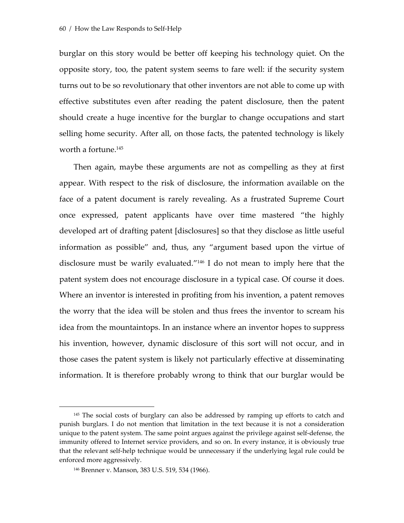burglar on this story would be better off keeping his technology quiet. On the opposite story, too, the patent system seems to fare well: if the security system turns out to be so revolutionary that other inventors are not able to come up with effective substitutes even after reading the patent disclosure, then the patent should create a huge incentive for the burglar to change occupations and start selling home security. After all, on those facts, the patented technology is likely worth a fortune[.145](#page-60-0)

Then again, maybe these arguments are not as compelling as they at first appear. With respect to the risk of disclosure, the information available on the face of a patent document is rarely revealing. As a frustrated Supreme Court once expressed, patent applicants have over time mastered "the highly developed art of drafting patent [disclosures] so that they disclose as little useful information as possible" and, thus, any "argument based upon the virtue of disclosure must be warily evaluated.["146](#page-60-1) I do not mean to imply here that the patent system does not encourage disclosure in a typical case. Of course it does. Where an inventor is interested in profiting from his invention, a patent removes the worry that the idea will be stolen and thus frees the inventor to scream his idea from the mountaintops. In an instance where an inventor hopes to suppress his invention, however, dynamic disclosure of this sort will not occur, and in those cases the patent system is likely not particularly effective at disseminating information. It is therefore probably wrong to think that our burglar would be

<span id="page-60-0"></span><sup>145</sup> The social costs of burglary can also be addressed by ramping up efforts to catch and punish burglars. I do not mention that limitation in the text because it is not a consideration unique to the patent system. The same point argues against the privilege against self-defense, the immunity offered to Internet service providers, and so on. In every instance, it is obviously true that the relevant self-help technique would be unnecessary if the underlying legal rule could be enforced more aggressively.

<span id="page-60-1"></span><sup>146</sup> Brenner v. Manson, 383 U.S. 519, 534 (1966).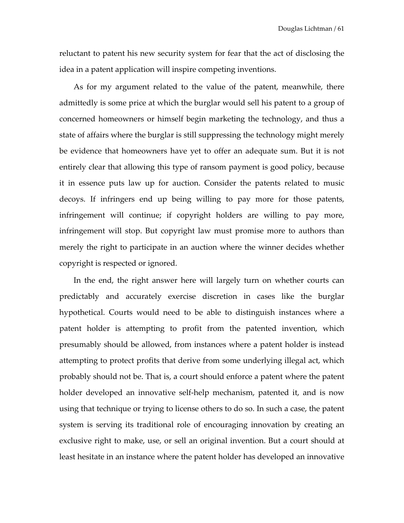reluctant to patent his new security system for fear that the act of disclosing the idea in a patent application will inspire competing inventions.

As for my argument related to the value of the patent, meanwhile, there admittedly is some price at which the burglar would sell his patent to a group of concerned homeowners or himself begin marketing the technology, and thus a state of affairs where the burglar is still suppressing the technology might merely be evidence that homeowners have yet to offer an adequate sum. But it is not entirely clear that allowing this type of ransom payment is good policy, because it in essence puts law up for auction. Consider the patents related to music decoys. If infringers end up being willing to pay more for those patents, infringement will continue; if copyright holders are willing to pay more, infringement will stop. But copyright law must promise more to authors than merely the right to participate in an auction where the winner decides whether copyright is respected or ignored.

In the end, the right answer here will largely turn on whether courts can predictably and accurately exercise discretion in cases like the burglar hypothetical. Courts would need to be able to distinguish instances where a patent holder is attempting to profit from the patented invention, which presumably should be allowed, from instances where a patent holder is instead attempting to protect profits that derive from some underlying illegal act, which probably should not be. That is, a court should enforce a patent where the patent holder developed an innovative self-help mechanism, patented it, and is now using that technique or trying to license others to do so. In such a case, the patent system is serving its traditional role of encouraging innovation by creating an exclusive right to make, use, or sell an original invention. But a court should at least hesitate in an instance where the patent holder has developed an innovative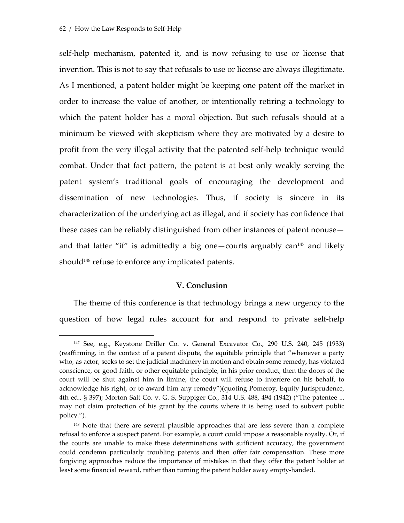1

self-help mechanism, patented it, and is now refusing to use or license that invention. This is not to say that refusals to use or license are always illegitimate. As I mentioned, a patent holder might be keeping one patent off the market in order to increase the value of another, or intentionally retiring a technology to which the patent holder has a moral objection. But such refusals should at a minimum be viewed with skepticism where they are motivated by a desire to profit from the very illegal activity that the patented self-help technique would combat. Under that fact pattern, the patent is at best only weakly serving the patent system's traditional goals of encouraging the development and dissemination of new technologies. Thus, if society is sincere in its characterization of the underlying act as illegal, and if society has confidence that these cases can be reliably distinguished from other instances of patent nonuse and that latter "if" is admittedly a big one—courts arguably can $147$  and likely should<sup>148</sup> refuse to enforce any implicated patents.

## **V. Conclusion**

The theme of this conference is that technology brings a new urgency to the question of how legal rules account for and respond to private self-help

<span id="page-62-0"></span><sup>147</sup> See, e.g., Keystone Driller Co. v. General Excavator Co., 290 U.S. 240, 245 (1933) (reaffirming, in the context of a patent dispute, the equitable principle that "whenever a party who, as actor, seeks to set the judicial machinery in motion and obtain some remedy, has violated conscience, or good faith, or other equitable principle, in his prior conduct, then the doors of the court will be shut against him in limine; the court will refuse to interfere on his behalf, to acknowledge his right, or to award him any remedy")(quoting Pomeroy, Equity Jurisprudence, 4th ed., § 397); Morton Salt Co. v. G. S. Suppiger Co., 314 U.S. 488, 494 (1942) ("The patentee ... may not claim protection of his grant by the courts where it is being used to subvert public policy.").

<span id="page-62-1"></span><sup>&</sup>lt;sup>148</sup> Note that there are several plausible approaches that are less severe than a complete refusal to enforce a suspect patent. For example, a court could impose a reasonable royalty. Or, if the courts are unable to make these determinations with sufficient accuracy, the government could condemn particularly troubling patents and then offer fair compensation. These more forgiving approaches reduce the importance of mistakes in that they offer the patent holder at least some financial reward, rather than turning the patent holder away empty-handed.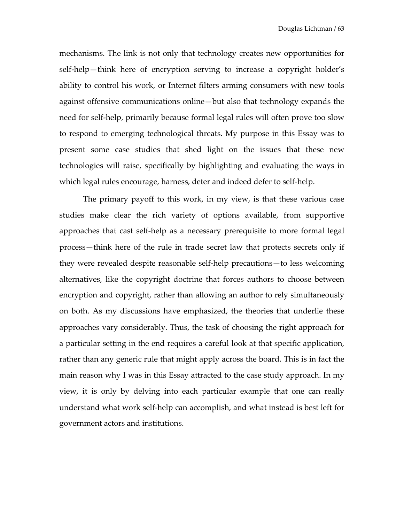mechanisms. The link is not only that technology creates new opportunities for self-help—think here of encryption serving to increase a copyright holder's ability to control his work, or Internet filters arming consumers with new tools against offensive communications online—but also that technology expands the need for self-help, primarily because formal legal rules will often prove too slow to respond to emerging technological threats. My purpose in this Essay was to present some case studies that shed light on the issues that these new technologies will raise, specifically by highlighting and evaluating the ways in which legal rules encourage, harness, deter and indeed defer to self-help.

The primary payoff to this work, in my view, is that these various case studies make clear the rich variety of options available, from supportive approaches that cast self-help as a necessary prerequisite to more formal legal process—think here of the rule in trade secret law that protects secrets only if they were revealed despite reasonable self-help precautions—to less welcoming alternatives, like the copyright doctrine that forces authors to choose between encryption and copyright, rather than allowing an author to rely simultaneously on both. As my discussions have emphasized, the theories that underlie these approaches vary considerably. Thus, the task of choosing the right approach for a particular setting in the end requires a careful look at that specific application, rather than any generic rule that might apply across the board. This is in fact the main reason why I was in this Essay attracted to the case study approach. In my view, it is only by delving into each particular example that one can really understand what work self-help can accomplish, and what instead is best left for government actors and institutions.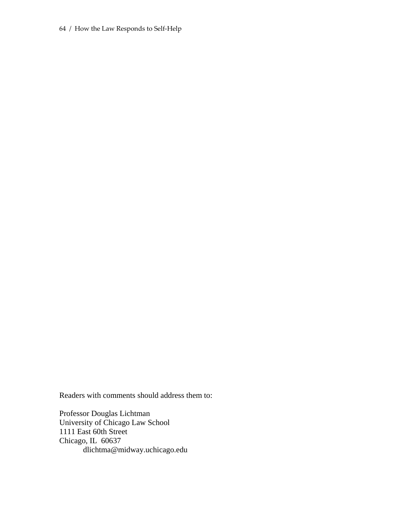## 64 / How the Law Responds to Self-Help

Readers with comments should address them to:

Professor Douglas Lichtman University of Chicago Law School 1111 East 60th Street Chicago, IL 60637 dlichtma@midway.uchicago.edu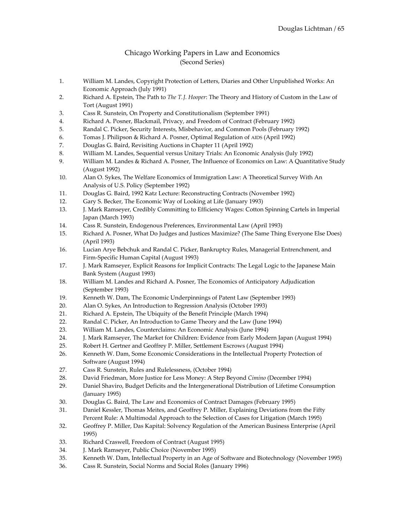## Chicago Working Papers in Law and Economics (Second Series)

- 1. William M. Landes, Copyright Protection of Letters, Diaries and Other Unpublished Works: An Economic Approach (July 1991)
- 2. Richard A. Epstein, The Path to *The T. J. Hooper*: The Theory and History of Custom in the Law of Tort (August 1991)
- 3. Cass R. Sunstein, On Property and Constitutionalism (September 1991)
- 4. Richard A. Posner, Blackmail, Privacy, and Freedom of Contract (February 1992)
- 5. Randal C. Picker, Security Interests, Misbehavior, and Common Pools (February 1992)
- 6. Tomas J. Philipson & Richard A. Posner, Optimal Regulation of AIDS (April 1992)
- 7. Douglas G. Baird, Revisiting Auctions in Chapter 11 (April 1992)
- 8. William M. Landes, Sequential versus Unitary Trials: An Economic Analysis (July 1992)
- 9. William M. Landes & Richard A. Posner, The Influence of Economics on Law: A Quantitative Study (August 1992)
- 10. Alan O. Sykes, The Welfare Economics of Immigration Law: A Theoretical Survey With An Analysis of U.S. Policy (September 1992)
- 11. Douglas G. Baird, 1992 Katz Lecture: Reconstructing Contracts (November 1992)
- 12. Gary S. Becker, The Economic Way of Looking at Life (January 1993)
- 13. J. Mark Ramseyer, Credibly Committing to Efficiency Wages: Cotton Spinning Cartels in Imperial Japan (March 1993)
- 14. Cass R. Sunstein, Endogenous Preferences, Environmental Law (April 1993)
- 15. Richard A. Posner, What Do Judges and Justices Maximize? (The Same Thing Everyone Else Does) (April 1993)
- 16. Lucian Arye Bebchuk and Randal C. Picker, Bankruptcy Rules, Managerial Entrenchment, and Firm-Specific Human Capital (August 1993)
- 17. J. Mark Ramseyer, Explicit Reasons for Implicit Contracts: The Legal Logic to the Japanese Main Bank System (August 1993)
- 18. William M. Landes and Richard A. Posner, The Economics of Anticipatory Adjudication (September 1993)
- 19. Kenneth W. Dam, The Economic Underpinnings of Patent Law (September 1993)
- 20. Alan O. Sykes, An Introduction to Regression Analysis (October 1993)
- 21. Richard A. Epstein, The Ubiquity of the Benefit Principle (March 1994)
- 22. Randal C. Picker, An Introduction to Game Theory and the Law (June 1994)
- 23. William M. Landes, Counterclaims: An Economic Analysis (June 1994)
- 24. J. Mark Ramseyer, The Market for Children: Evidence from Early Modern Japan (August 1994)
- 25. Robert H. Gertner and Geoffrey P. Miller, Settlement Escrows (August 1994)
- 26. Kenneth W. Dam, Some Economic Considerations in the Intellectual Property Protection of Software (August 1994)
- 27. Cass R. Sunstein, Rules and Rulelessness, (October 1994)
- 28. David Friedman, More Justice for Less Money: A Step Beyond *Cimino* (December 1994)
- 29. Daniel Shaviro, Budget Deficits and the Intergenerational Distribution of Lifetime Consumption (January 1995)
- 30. Douglas G. Baird, The Law and Economics of Contract Damages (February 1995)
- 31. Daniel Kessler, Thomas Meites, and Geoffrey P. Miller, Explaining Deviations from the Fifty Percent Rule: A Multimodal Approach to the Selection of Cases for Litigation (March 1995)
- 32. Geoffrey P. Miller, Das Kapital: Solvency Regulation of the American Business Enterprise (April 1995)
- 33. Richard Craswell, Freedom of Contract (August 1995)
- 34. J. Mark Ramseyer, Public Choice (November 1995)
- 35. Kenneth W. Dam, Intellectual Property in an Age of Software and Biotechnology (November 1995)
- 36. Cass R. Sunstein, Social Norms and Social Roles (January 1996)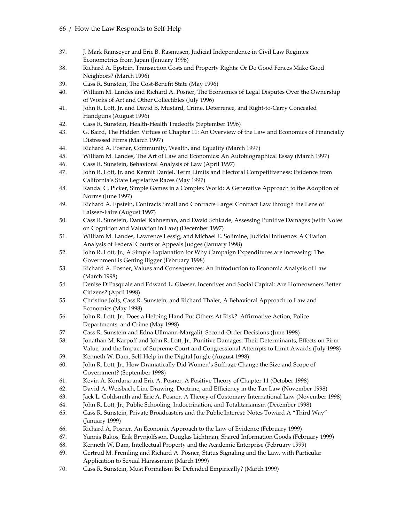- 37. J. Mark Ramseyer and Eric B. Rasmusen, Judicial Independence in Civil Law Regimes: Econometrics from Japan (January 1996)
- 38. Richard A. Epstein, Transaction Costs and Property Rights: Or Do Good Fences Make Good Neighbors? (March 1996)
- 39. Cass R. Sunstein, The Cost-Benefit State (May 1996)
- 40. William M. Landes and Richard A. Posner, The Economics of Legal Disputes Over the Ownership of Works of Art and Other Collectibles (July 1996)
- 41. John R. Lott, Jr. and David B. Mustard, Crime, Deterrence, and Right-to-Carry Concealed Handguns (August 1996)
- 42. Cass R. Sunstein, Health-Health Tradeoffs (September 1996)
- 43. G. Baird, The Hidden Virtues of Chapter 11: An Overview of the Law and Economics of Financially Distressed Firms (March 1997)
- 44. Richard A. Posner, Community, Wealth, and Equality (March 1997)
- 45. William M. Landes, The Art of Law and Economics: An Autobiographical Essay (March 1997)
- 46. Cass R. Sunstein, Behavioral Analysis of Law (April 1997)
- 47. John R. Lott, Jr. and Kermit Daniel, Term Limits and Electoral Competitiveness: Evidence from California's State Legislative Races (May 1997)
- 48. Randal C. Picker, Simple Games in a Complex World: A Generative Approach to the Adoption of Norms (June 1997)
- 49. Richard A. Epstein, Contracts Small and Contracts Large: Contract Law through the Lens of Laissez-Faire (August 1997)
- 50. Cass R. Sunstein, Daniel Kahneman, and David Schkade, Assessing Punitive Damages (with Notes on Cognition and Valuation in Law) (December 1997)
- 51. William M. Landes, Lawrence Lessig, and Michael E. Solimine, Judicial Influence: A Citation Analysis of Federal Courts of Appeals Judges (January 1998)
- 52. John R. Lott, Jr., A Simple Explanation for Why Campaign Expenditures are Increasing: The Government is Getting Bigger (February 1998)
- 53. Richard A. Posner, Values and Consequences: An Introduction to Economic Analysis of Law (March 1998)
- 54. Denise DiPasquale and Edward L. Glaeser, Incentives and Social Capital: Are Homeowners Better Citizens? (April 1998)
- 55. Christine Jolls, Cass R. Sunstein, and Richard Thaler, A Behavioral Approach to Law and Economics (May 1998)
- 56. John R. Lott, Jr., Does a Helping Hand Put Others At Risk?: Affirmative Action, Police Departments, and Crime (May 1998)
- 57. Cass R. Sunstein and Edna Ullmann-Margalit, Second-Order Decisions (June 1998)
- 58. Jonathan M. Karpoff and John R. Lott, Jr., Punitive Damages: Their Determinants, Effects on Firm Value, and the Impact of Supreme Court and Congressional Attempts to Limit Awards (July 1998)
- 59. Kenneth W. Dam, Self-Help in the Digital Jungle (August 1998)
- 60. John R. Lott, Jr., How Dramatically Did Women's Suffrage Change the Size and Scope of Government? (September 1998)
- 61. Kevin A. Kordana and Eric A. Posner, A Positive Theory of Chapter 11 (October 1998)
- 62. David A. Weisbach, Line Drawing, Doctrine, and Efficiency in the Tax Law (November 1998)
- 63. Jack L. Goldsmith and Eric A. Posner, A Theory of Customary International Law (November 1998)
- 64. John R. Lott, Jr., Public Schooling, Indoctrination, and Totalitarianism (December 1998)
- 65. Cass R. Sunstein, Private Broadcasters and the Public Interest: Notes Toward A "Third Way" (January 1999)
- 66. Richard A. Posner, An Economic Approach to the Law of Evidence (February 1999)
- 67. Yannis Bakos, Erik Brynjolfsson, Douglas Lichtman, Shared Information Goods (February 1999)
- 68. Kenneth W. Dam, Intellectual Property and the Academic Enterprise (February 1999)
- 69. Gertrud M. Fremling and Richard A. Posner, Status Signaling and the Law, with Particular Application to Sexual Harassment (March 1999)
- 70. Cass R. Sunstein, Must Formalism Be Defended Empirically? (March 1999)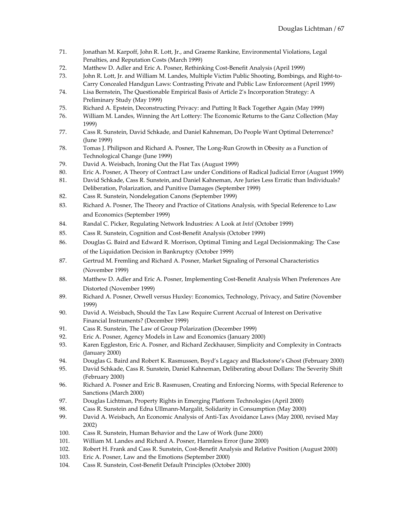- 71. Jonathan M. Karpoff, John R. Lott, Jr., and Graeme Rankine, Environmental Violations, Legal Penalties, and Reputation Costs (March 1999)
- 72. Matthew D. Adler and Eric A. Posner, Rethinking Cost-Benefit Analysis (April 1999)
- 73. John R. Lott, Jr. and William M. Landes, Multiple Victim Public Shooting, Bombings, and Right-to-Carry Concealed Handgun Laws: Contrasting Private and Public Law Enforcement (April 1999)
- 74. Lisa Bernstein, The Questionable Empirical Basis of Article 2's Incorporation Strategy: A Preliminary Study (May 1999)
- 75. Richard A. Epstein, Deconstructing Privacy: and Putting It Back Together Again (May 1999)
- 76. William M. Landes, Winning the Art Lottery: The Economic Returns to the Ganz Collection (May 1999)
- 77. Cass R. Sunstein, David Schkade, and Daniel Kahneman, Do People Want Optimal Deterrence? (June 1999)
- 78. Tomas J. Philipson and Richard A. Posner, The Long-Run Growth in Obesity as a Function of Technological Change (June 1999)
- 79. David A. Weisbach, Ironing Out the Flat Tax (August 1999)
- 80. Eric A. Posner, A Theory of Contract Law under Conditions of Radical Judicial Error (August 1999)
- 81. David Schkade, Cass R. Sunstein, and Daniel Kahneman, Are Juries Less Erratic than Individuals? Deliberation, Polarization, and Punitive Damages (September 1999)
- 82. Cass R. Sunstein, Nondelegation Canons (September 1999)
- 83. Richard A. Posner, The Theory and Practice of Citations Analysis, with Special Reference to Law and Economics (September 1999)
- 84. Randal C. Picker, Regulating Network Industries: A Look at *Intel* (October 1999)
- 85. Cass R. Sunstein, Cognition and Cost-Benefit Analysis (October 1999)
- 86. Douglas G. Baird and Edward R. Morrison, Optimal Timing and Legal Decisionmaking: The Case of the Liquidation Decision in Bankruptcy (October 1999)
- 87. Gertrud M. Fremling and Richard A. Posner, Market Signaling of Personal Characteristics (November 1999)
- 88. Matthew D. Adler and Eric A. Posner, Implementing Cost-Benefit Analysis When Preferences Are Distorted (November 1999)
- 89. Richard A. Posner, Orwell versus Huxley: Economics, Technology, Privacy, and Satire (November 1999)
- 90. David A. Weisbach, Should the Tax Law Require Current Accrual of Interest on Derivative Financial Instruments? (December 1999)
- 91. Cass R. Sunstein, The Law of Group Polarization (December 1999)
- 92. Eric A. Posner, Agency Models in Law and Economics (January 2000)
- 93. Karen Eggleston, Eric A. Posner, and Richard Zeckhauser, Simplicity and Complexity in Contracts (January 2000)
- 94. Douglas G. Baird and Robert K. Rasmussen, Boyd's Legacy and Blackstone's Ghost (February 2000)
- 95. David Schkade, Cass R. Sunstein, Daniel Kahneman, Deliberating about Dollars: The Severity Shift (February 2000)
- 96. Richard A. Posner and Eric B. Rasmusen, Creating and Enforcing Norms, with Special Reference to Sanctions (March 2000)
- 97. Douglas Lichtman, Property Rights in Emerging Platform Technologies (April 2000)
- 98. Cass R. Sunstein and Edna Ullmann-Margalit, Solidarity in Consumption (May 2000)
- 99. David A. Weisbach, An Economic Analysis of Anti-Tax Avoidance Laws (May 2000, revised May 2002)
- 100. Cass R. Sunstein, Human Behavior and the Law of Work (June 2000)
- 101. William M. Landes and Richard A. Posner, Harmless Error (June 2000)
- 102. Robert H. Frank and Cass R. Sunstein, Cost-Benefit Analysis and Relative Position (August 2000)
- 103. Eric A. Posner, Law and the Emotions (September 2000)
- 104. Cass R. Sunstein, Cost-Benefit Default Principles (October 2000)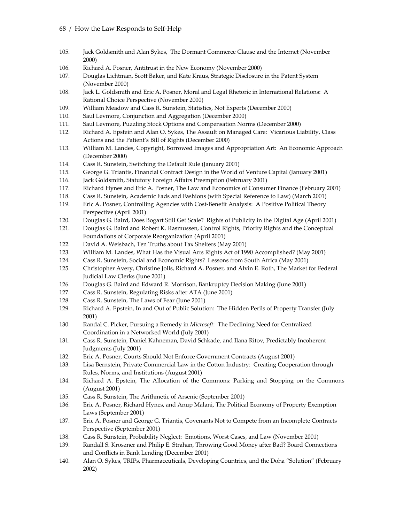- 105. Jack Goldsmith and Alan Sykes, The Dormant Commerce Clause and the Internet (November 2000)
- 106. Richard A. Posner, Antitrust in the New Economy (November 2000)
- 107. Douglas Lichtman, Scott Baker, and Kate Kraus, Strategic Disclosure in the Patent System (November 2000)
- 108. Jack L. Goldsmith and Eric A. Posner, Moral and Legal Rhetoric in International Relations: A Rational Choice Perspective (November 2000)
- 109. William Meadow and Cass R. Sunstein, Statistics, Not Experts (December 2000)
- 110. Saul Levmore, Conjunction and Aggregation (December 2000)
- 111. Saul Levmore, Puzzling Stock Options and Compensation Norms (December 2000)
- 112. Richard A. Epstein and Alan O. Sykes, The Assault on Managed Care: Vicarious Liability, Class Actions and the Patient's Bill of Rights (December 2000)
- 113. William M. Landes, Copyright, Borrowed Images and Appropriation Art: An Economic Approach (December 2000)
- 114. Cass R. Sunstein, Switching the Default Rule (January 2001)
- 115. George G. Triantis, Financial Contract Design in the World of Venture Capital (January 2001)
- 116. Jack Goldsmith, Statutory Foreign Affairs Preemption (February 2001)
- 117. Richard Hynes and Eric A. Posner, The Law and Economics of Consumer Finance (February 2001)
- 118. Cass R. Sunstein, Academic Fads and Fashions (with Special Reference to Law) (March 2001)
- 119. Eric A. Posner, Controlling Agencies with Cost-Benefit Analysis: A Positive Political Theory Perspective (April 2001)
- 120. Douglas G. Baird, Does Bogart Still Get Scale? Rights of Publicity in the Digital Age (April 2001)
- 121. Douglas G. Baird and Robert K. Rasmussen, Control Rights, Priority Rights and the Conceptual Foundations of Corporate Reorganization (April 2001)
- 122. David A. Weisbach, Ten Truths about Tax Shelters (May 2001)
- 123. William M. Landes, What Has the Visual Arts Rights Act of 1990 Accomplished? (May 2001)
- 124. Cass R. Sunstein, Social and Economic Rights? Lessons from South Africa (May 2001)
- 125. Christopher Avery, Christine Jolls, Richard A. Posner, and Alvin E. Roth, The Market for Federal Judicial Law Clerks (June 2001)
- 126. Douglas G. Baird and Edward R. Morrison, Bankruptcy Decision Making (June 2001)
- 127. Cass R. Sunstein, Regulating Risks after ATA (June 2001)
- 128. Cass R. Sunstein, The Laws of Fear (June 2001)
- 129. Richard A. Epstein, In and Out of Public Solution: The Hidden Perils of Property Transfer (July 2001)
- 130. Randal C. Picker, Pursuing a Remedy in *Microsoft*: The Declining Need for Centralized Coordination in a Networked World (July 2001)
- 131. Cass R. Sunstein, Daniel Kahneman, David Schkade, and Ilana Ritov, Predictably Incoherent Judgments (July 2001)
- 132. Eric A. Posner, Courts Should Not Enforce Government Contracts (August 2001)
- 133. Lisa Bernstein, Private Commercial Law in the Cotton Industry: Creating Cooperation through Rules, Norms, and Institutions (August 2001)
- 134. Richard A. Epstein, The Allocation of the Commons: Parking and Stopping on the Commons (August 2001)
- 135. Cass R. Sunstein, The Arithmetic of Arsenic (September 2001)
- 136. Eric A. Posner, Richard Hynes, and Anup Malani, The Political Economy of Property Exemption Laws (September 2001)
- 137. Eric A. Posner and George G. Triantis, Covenants Not to Compete from an Incomplete Contracts Perspective (September 2001)
- 138. Cass R. Sunstein, Probability Neglect: Emotions, Worst Cases, and Law (November 2001)
- 139. Randall S. Kroszner and Philip E. Strahan, Throwing Good Money after Bad? Board Connections and Conflicts in Bank Lending (December 2001)
- 140. Alan O. Sykes, TRIPs, Pharmaceuticals, Developing Countries, and the Doha "Solution" (February 2002)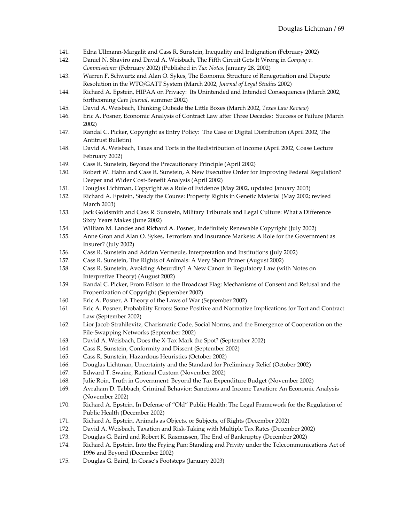- 141. Edna Ullmann-Margalit and Cass R. Sunstein, Inequality and Indignation (February 2002)
- 142. Daniel N. Shaviro and David A. Weisbach, The Fifth Circuit Gets It Wrong in *Compaq v. Commissioner* (February 2002) (Published in *Tax Notes*, January 28, 2002)
- 143. Warren F. Schwartz and Alan O. Sykes, The Economic Structure of Renegotiation and Dispute Resolution in the WTO/GATT System (March 2002, *Journal of Legal Studies* 2002)
- 144. Richard A. Epstein, HIPAA on Privacy: Its Unintended and Intended Consequences (March 2002, forthcoming *Cato Journal*, summer 2002)
- 145. David A. Weisbach, Thinking Outside the Little Boxes (March 2002, *Texas Law Review*)
- 146. Eric A. Posner, Economic Analysis of Contract Law after Three Decades: Success or Failure (March 2002)
- 147. Randal C. Picker, Copyright as Entry Policy: The Case of Digital Distribution (April 2002, The Antitrust Bulletin)
- 148. David A. Weisbach, Taxes and Torts in the Redistribution of Income (April 2002, Coase Lecture February 2002)
- 149. Cass R. Sunstein, Beyond the Precautionary Principle (April 2002)
- 150. Robert W. Hahn and Cass R. Sunstein, A New Executive Order for Improving Federal Regulation? Deeper and Wider Cost-Benefit Analysis (April 2002)
- 151. Douglas Lichtman, Copyright as a Rule of Evidence (May 2002, updated January 2003)
- 152. Richard A. Epstein, Steady the Course: Property Rights in Genetic Material (May 2002; revised March 2003)
- 153. Jack Goldsmith and Cass R. Sunstein, Military Tribunals and Legal Culture: What a Difference Sixty Years Makes (June 2002)
- 154. William M. Landes and Richard A. Posner, Indefinitely Renewable Copyright (July 2002)
- 155. Anne Gron and Alan O. Sykes, Terrorism and Insurance Markets: A Role for the Government as Insurer? (July 2002)
- 156. Cass R. Sunstein and Adrian Vermeule, Interpretation and Institutions (July 2002)
- 157. Cass R. Sunstein, The Rights of Animals: A Very Short Primer (August 2002)
- 158. Cass R. Sunstein, Avoiding Absurdity? A New Canon in Regulatory Law (with Notes on Interpretive Theory) (August 2002)
- 159. Randal C. Picker, From Edison to the Broadcast Flag: Mechanisms of Consent and Refusal and the Propertization of Copyright (September 2002)
- 160. Eric A. Posner, A Theory of the Laws of War (September 2002)
- 161 Eric A. Posner, Probability Errors: Some Positive and Normative Implications for Tort and Contract Law (September 2002)
- 162. Lior Jacob Strahilevitz, Charismatic Code, Social Norms, and the Emergence of Cooperation on the File-Swapping Networks (September 2002)
- 163. David A. Weisbach, Does the X-Tax Mark the Spot? (September 2002)
- 164. Cass R. Sunstein, Conformity and Dissent (September 2002)
- 165. Cass R. Sunstein, Hazardous Heuristics (October 2002)
- 166. Douglas Lichtman, Uncertainty and the Standard for Preliminary Relief (October 2002)
- 167. Edward T. Swaine, Rational Custom (November 2002)
- 168. Julie Roin, Truth in Government: Beyond the Tax Expenditure Budget (November 2002)
- 169. Avraham D. Tabbach, Criminal Behavior: Sanctions and Income Taxation: An Economic Analysis (November 2002)
- 170. Richard A. Epstein, In Defense of "Old" Public Health: The Legal Framework for the Regulation of Public Health (December 2002)
- 171. Richard A. Epstein, Animals as Objects, or Subjects, of Rights (December 2002)
- 172. David A. Weisbach, Taxation and Risk-Taking with Multiple Tax Rates (December 2002)
- 173. Douglas G. Baird and Robert K. Rasmussen, The End of Bankruptcy (December 2002)
- 174. Richard A. Epstein, Into the Frying Pan: Standing and Privity under the Telecommunications Act of 1996 and Beyond (December 2002)
- 175. Douglas G. Baird, In Coase's Footsteps (January 2003)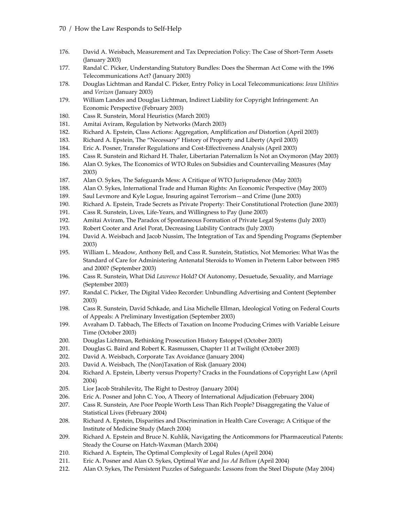- 176. David A. Weisbach, Measurement and Tax Depreciation Policy: The Case of Short-Term Assets (January 2003)
- 177. Randal C. Picker, Understanding Statutory Bundles: Does the Sherman Act Come with the 1996 Telecommunications Act? (January 2003)
- 178. Douglas Lichtman and Randal C. Picker, Entry Policy in Local Telecommunications: *Iowa Utilities* and *Verizon* (January 2003)
- 179. William Landes and Douglas Lichtman, Indirect Liability for Copyright Infringement: An Economic Perspective (February 2003)
- 180. Cass R. Sunstein, Moral Heuristics (March 2003)
- 181. Amitai Aviram, Regulation by Networks (March 2003)
- 182. Richard A. Epstein, Class Actions: Aggregation, Amplification *and* Distortion (April 2003)
- 183. Richard A. Epstein, The "Necessary" History of Property and Liberty (April 2003)
- 184. Eric A. Posner, Transfer Regulations and Cost-Effectiveness Analysis (April 2003)
- 185. Cass R. Sunstein and Richard H. Thaler, Libertarian Paternalizm Is Not an Oxymoron (May 2003)
- 186. Alan O. Sykes, The Economics of WTO Rules on Subsidies and Countervailing Measures (May 2003)
- 187. Alan O. Sykes, The Safeguards Mess: A Critique of WTO Jurisprudence (May 2003)
- 188. Alan O. Sykes, International Trade and Human Rights: An Economic Perspective (May 2003)
- 189. Saul Levmore and Kyle Logue, Insuring against Terrorism—and Crime (June 2003)
- 190. Richard A. Epstein, Trade Secrets as Private Property: Their Constitutional Protection (June 2003)
- 191. Cass R. Sunstein, Lives, Life-Years, and Willingness to Pay (June 2003)
- 192. Amitai Aviram, The Paradox of Spontaneous Formation of Private Legal Systems (July 2003)
- 193. Robert Cooter and Ariel Porat, Decreasing Liability Contracts (July 2003)
- 194. David A. Weisbach and Jacob Nussim, The Integration of Tax and Spending Programs (September 2003)
- 195. William L. Meadow, Anthony Bell, and Cass R. Sunstein, Statistics, Not Memories: What Was the Standard of Care for Administering Antenatal Steroids to Women in Preterm Labor between 1985 and 2000? (September 2003)
- 196. Cass R. Sunstein, What Did *Lawrence* Hold? Of Autonomy, Desuetude, Sexuality, and Marriage (September 2003)
- 197. Randal C. Picker, The Digital Video Recorder: Unbundling Advertising and Content (September 2003)
- 198. Cass R. Sunstein, David Schkade, and Lisa Michelle Ellman, Ideological Voting on Federal Courts of Appeals: A Preliminary Investigation (September 2003)
- 199. Avraham D. Tabbach, The Effects of Taxation on Income Producing Crimes with Variable Leisure Time (October 2003)
- 200. Douglas Lichtman, Rethinking Prosecution History Estoppel (October 2003)
- 201. Douglas G. Baird and Robert K. Rasmussen, Chapter 11 at Twilight (October 2003)
- 202. David A. Weisbach, Corporate Tax Avoidance (January 2004)
- 203. David A. Weisbach, The (Non)Taxation of Risk (January 2004)
- 204. Richard A. Epstein, Liberty versus Property? Cracks in the Foundations of Copyright Law (April 2004)
- 205. Lior Jacob Strahilevitz, The Right to Destroy (January 2004)
- 206. Eric A. Posner and John C. Yoo, A Theory of International Adjudication (February 2004)
- 207. Cass R. Sunstein, Are Poor People Worth Less Than Rich People? Disaggregating the Value of Statistical Lives (February 2004)
- 208. Richard A. Epstein, Disparities and Discrimination in Health Care Coverage; A Critique of the Institute of Medicine Study (March 2004)
- 209. Richard A. Epstein and Bruce N. Kuhlik, Navigating the Anticommons for Pharmaceutical Patents: Steady the Course on Hatch-Waxman (March 2004)
- 210. Richard A. Esptein, The Optimal Complexity of Legal Rules (April 2004)
- 211. Eric A. Posner and Alan O. Sykes, Optimal War and *Jus Ad Bellum* (April 2004)
- 212. Alan O. Sykes, The Persistent Puzzles of Safeguards: Lessons from the Steel Dispute (May 2004)